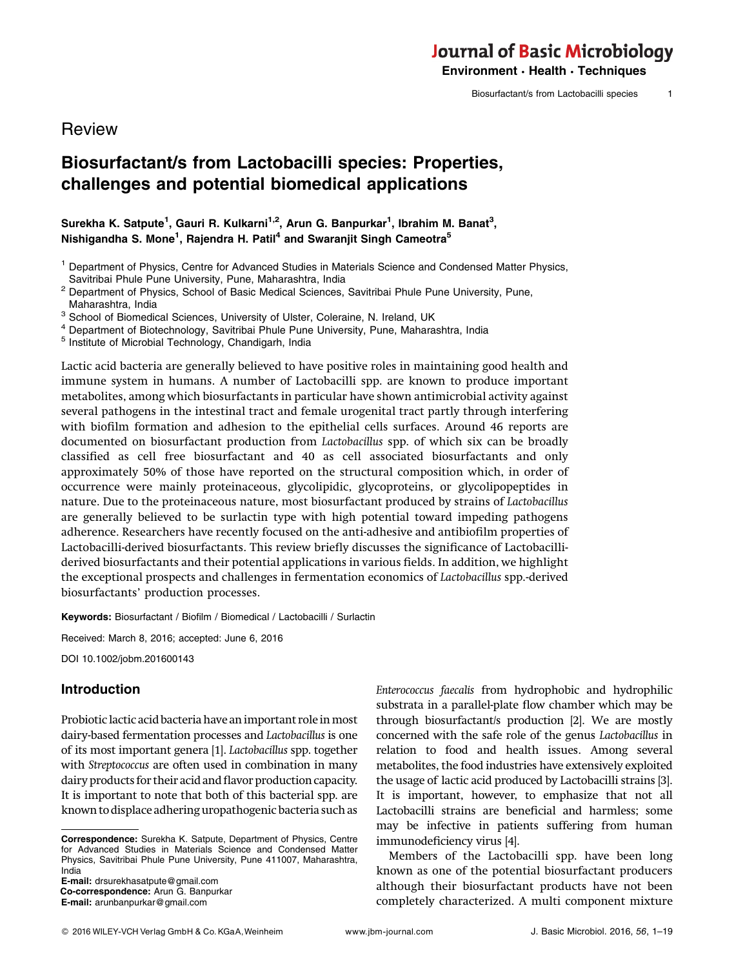Environment · Health · Techniques

Review

### Biosurfactant/s from Lactobacilli species: Properties, challenges and potential biomedical applications

#### Surekha K. Satpute<sup>1</sup>, Gauri R. Kulkarni<sup>1,2</sup>, Arun G. Banpurkar<sup>1</sup>, Ibrahim M. Banat<sup>3</sup>, Nishigandha S. Mone<sup>1</sup>, Rajendra H. Patil<sup>4</sup> and Swaranjit Singh Cameotra<sup>5</sup>

<sup>2</sup> Department of Physics, School of Basic Medical Sciences, Savitribai Phule Pune University, Pune, Maharashtra, India

<sup>3</sup> School of Biomedical Sciences, University of Ulster, Coleraine, N. Ireland, UK

<sup>4</sup> Department of Biotechnology, Savitribai Phule Pune University, Pune, Maharashtra, India

<sup>5</sup> Institute of Microbial Technology, Chandigarh, India

Lactic acid bacteria are generally believed to have positive roles in maintaining good health and immune system in humans. A number of Lactobacilli spp. are known to produce important metabolites, among which biosurfactants in particular have shown antimicrobial activity against several pathogens in the intestinal tract and female urogenital tract partly through interfering with biofilm formation and adhesion to the epithelial cells surfaces. Around 46 reports are documented on biosurfactant production from Lactobacillus spp. of which six can be broadly classified as cell free biosurfactant and 40 as cell associated biosurfactants and only approximately 50% of those have reported on the structural composition which, in order of occurrence were mainly proteinaceous, glycolipidic, glycoproteins, or glycolipopeptides in nature. Due to the proteinaceous nature, most biosurfactant produced by strains of Lactobacillus are generally believed to be surlactin type with high potential toward impeding pathogens adherence. Researchers have recently focused on the anti-adhesive and antibiofilm properties of Lactobacilli-derived biosurfactants. This review briefly discusses the significance of Lactobacilliderived biosurfactants and their potential applications in various fields. In addition, we highlight the exceptional prospects and challenges in fermentation economics of Lactobacillus spp.-derived biosurfactants' production processes.

Keywords: Biosurfactant / Biofilm / Biomedical / Lactobacilli / Surlactin

Received: March 8, 2016; accepted: June 6, 2016

DOI 10.1002/jobm.201600143

#### Introduction

Probiotic lactic acid bacteria have an important role in most dairy-based fermentation processes and Lactobacillus is one of its most important genera [1]. Lactobacillus spp. together with Streptococcus are often used in combination in many dairy products for their acid and flavor production capacity. It is important to note that both of this bacterial spp. are known to displace adhering uropathogenic bacteria such as

E-mail: drsurekhasatpute@gmail.com Co-correspondence: Arun G. Banpurkar

E-mail: arunbanpurkar@gmail.com

Enterococcus faecalis from hydrophobic and hydrophilic substrata in a parallel-plate flow chamber which may be through biosurfactant/s production [2]. We are mostly concerned with the safe role of the genus Lactobacillus in relation to food and health issues. Among several metabolites, the food industries have extensively exploited the usage of lactic acid produced by Lactobacilli strains [3]. It is important, however, to emphasize that not all Lactobacilli strains are beneficial and harmless; some may be infective in patients suffering from human immunodeficiency virus [4].

Members of the Lactobacilli spp. have been long known as one of the potential biosurfactant producers although their biosurfactant products have not been completely characterized. A multi component mixture

<sup>1</sup> Department of Physics, Centre for Advanced Studies in Materials Science and Condensed Matter Physics, Savitribai Phule Pune University, Pune, Maharashtra, India

Correspondence: Surekha K. Satpute, Department of Physics, Centre for Advanced Studies in Materials Science and Condensed Matter Physics, Savitribai Phule Pune University, Pune 411007, Maharashtra, India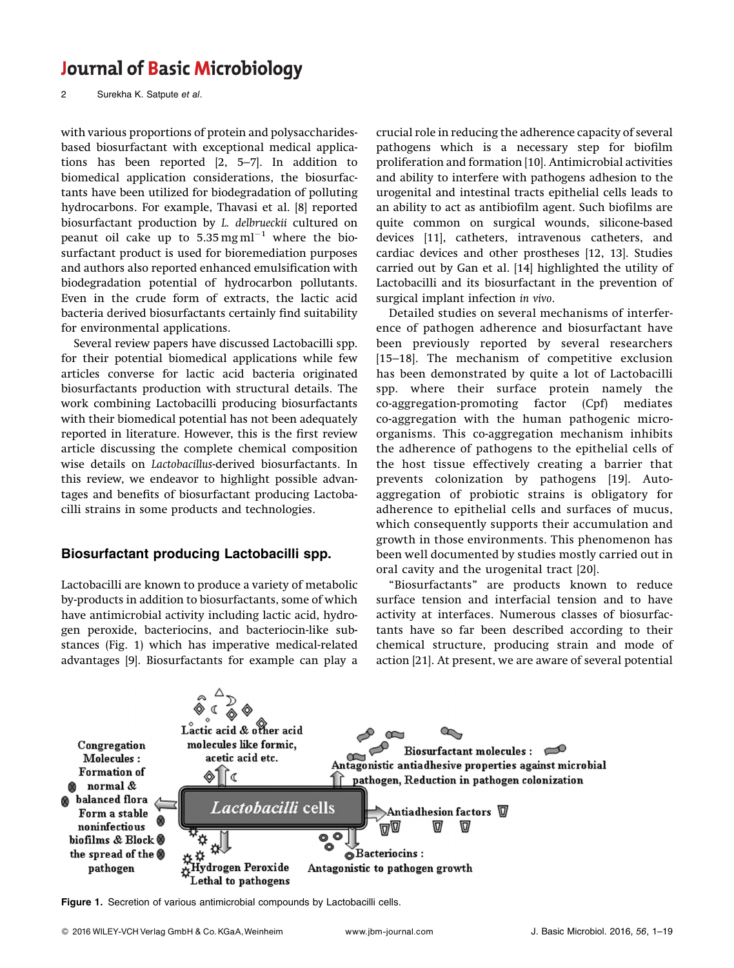2 Surekha K. Satpute et al.

with various proportions of protein and polysaccharidesbased biosurfactant with exceptional medical applications has been reported [2, 5–7]. In addition to biomedical application considerations, the biosurfactants have been utilized for biodegradation of polluting hydrocarbons. For example, Thavasi et al. [8] reported biosurfactant production by L. delbrueckii cultured on peanut oil cake up to  $5.35$  mg ml<sup>-1</sup> where the biosurfactant product is used for bioremediation purposes and authors also reported enhanced emulsification with biodegradation potential of hydrocarbon pollutants. Even in the crude form of extracts, the lactic acid bacteria derived biosurfactants certainly find suitability for environmental applications.

Several review papers have discussed Lactobacilli spp. for their potential biomedical applications while few articles converse for lactic acid bacteria originated biosurfactants production with structural details. The work combining Lactobacilli producing biosurfactants with their biomedical potential has not been adequately reported in literature. However, this is the first review article discussing the complete chemical composition wise details on Lactobacillus-derived biosurfactants. In this review, we endeavor to highlight possible advantages and benefits of biosurfactant producing Lactobacilli strains in some products and technologies.

### Biosurfactant producing Lactobacilli spp.

Lactobacilli are known to produce a variety of metabolic by-products in addition to biosurfactants, some of which have antimicrobial activity including lactic acid, hydrogen peroxide, bacteriocins, and bacteriocin-like substances (Fig. 1) which has imperative medical-related advantages [9]. Biosurfactants for example can play a crucial role in reducing the adherence capacity of several pathogens which is a necessary step for biofilm proliferation and formation [10]. Antimicrobial activities and ability to interfere with pathogens adhesion to the urogenital and intestinal tracts epithelial cells leads to an ability to act as antibiofilm agent. Such biofilms are quite common on surgical wounds, silicone-based devices [11], catheters, intravenous catheters, and cardiac devices and other prostheses [12, 13]. Studies carried out by Gan et al. [14] highlighted the utility of Lactobacilli and its biosurfactant in the prevention of surgical implant infection in vivo.

Detailed studies on several mechanisms of interference of pathogen adherence and biosurfactant have been previously reported by several researchers [15–18]. The mechanism of competitive exclusion has been demonstrated by quite a lot of Lactobacilli spp. where their surface protein namely the co-aggregation-promoting factor (Cpf) mediates co-aggregation with the human pathogenic microorganisms. This co-aggregation mechanism inhibits the adherence of pathogens to the epithelial cells of the host tissue effectively creating a barrier that prevents colonization by pathogens [19]. Autoaggregation of probiotic strains is obligatory for adherence to epithelial cells and surfaces of mucus, which consequently supports their accumulation and growth in those environments. This phenomenon has been well documented by studies mostly carried out in oral cavity and the urogenital tract [20].

"Biosurfactants" are products known to reduce surface tension and interfacial tension and to have activity at interfaces. Numerous classes of biosurfactants have so far been described according to their chemical structure, producing strain and mode of action [21]. At present, we are aware of several potential



Figure 1. Secretion of various antimicrobial compounds by Lactobacilli cells.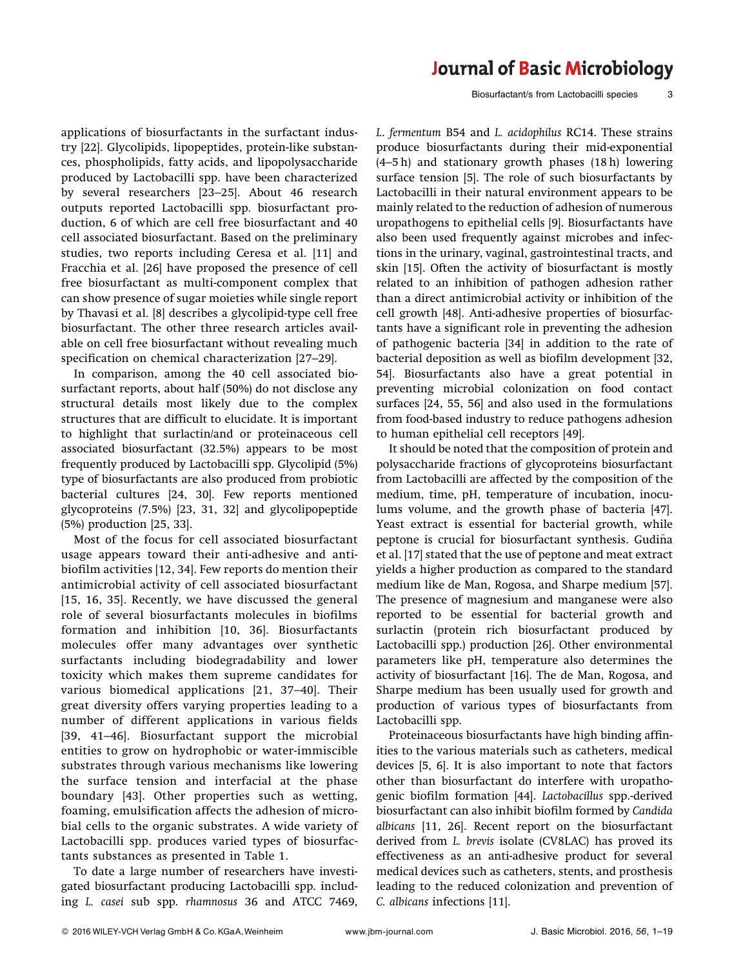applications of biosurfactants in the surfactant industry [22]. Glycolipids, lipopeptides, protein-like substances, phospholipids, fatty acids, and lipopolysaccharide produced by Lactobacilli spp. have been characterized by several researchers [23–25]. About 46 research outputs reported Lactobacilli spp. biosurfactant production, 6 of which are cell free biosurfactant and 40 cell associated biosurfactant. Based on the preliminary studies, two reports including Ceresa et al. [11] and Fracchia et al. [26] have proposed the presence of cell free biosurfactant as multi-component complex that can show presence of sugar moieties while single report by Thavasi et al. [8] describes a glycolipid-type cell free biosurfactant. The other three research articles available on cell free biosurfactant without revealing much specification on chemical characterization [27–29].

In comparison, among the 40 cell associated biosurfactant reports, about half (50%) do not disclose any structural details most likely due to the complex structures that are difficult to elucidate. It is important to highlight that surlactin/and or proteinaceous cell associated biosurfactant (32.5%) appears to be most frequently produced by Lactobacilli spp. Glycolipid (5%) type of biosurfactants are also produced from probiotic bacterial cultures [24, 30]. Few reports mentioned glycoproteins (7.5%) [23, 31, 32] and glycolipopeptide (5%) production [25, 33].

Most of the focus for cell associated biosurfactant usage appears toward their anti-adhesive and antibiofilm activities [12, 34]. Few reports do mention their antimicrobial activity of cell associated biosurfactant [15, 16, 35]. Recently, we have discussed the general role of several biosurfactants molecules in biofilms formation and inhibition [10, 36]. Biosurfactants molecules offer many advantages over synthetic surfactants including biodegradability and lower toxicity which makes them supreme candidates for various biomedical applications [21, 37–40]. Their great diversity offers varying properties leading to a number of different applications in various fields [39, 41–46]. Biosurfactant support the microbial entities to grow on hydrophobic or water-immiscible substrates through various mechanisms like lowering the surface tension and interfacial at the phase boundary [43]. Other properties such as wetting, foaming, emulsification affects the adhesion of microbial cells to the organic substrates. A wide variety of Lactobacilli spp. produces varied types of biosurfactants substances as presented in Table 1.

To date a large number of researchers have investigated biosurfactant producing Lactobacilli spp. including L. casei sub spp. rhamnosus 36 and ATCC 7469,

### **Journal of Basic Microbiology**

Biosurfactant/s from Lactobacilli species 3

L. fermentum B54 and L. acidophilus RC14. These strains produce biosurfactants during their mid-exponential (4–5 h) and stationary growth phases (18 h) lowering surface tension [5]. The role of such biosurfactants by Lactobacilli in their natural environment appears to be mainly related to the reduction of adhesion of numerous uropathogens to epithelial cells [9]. Biosurfactants have also been used frequently against microbes and infections in the urinary, vaginal, gastrointestinal tracts, and skin [15]. Often the activity of biosurfactant is mostly related to an inhibition of pathogen adhesion rather than a direct antimicrobial activity or inhibition of the cell growth [48]. Anti-adhesive properties of biosurfactants have a significant role in preventing the adhesion of pathogenic bacteria [34] in addition to the rate of bacterial deposition as well as biofilm development [32, 54]. Biosurfactants also have a great potential in preventing microbial colonization on food contact surfaces [24, 55, 56] and also used in the formulations from food-based industry to reduce pathogens adhesion to human epithelial cell receptors [49].

It should be noted that the composition of protein and polysaccharide fractions of glycoproteins biosurfactant from Lactobacilli are affected by the composition of the medium, time, pH, temperature of incubation, inoculums volume, and the growth phase of bacteria [47]. Yeast extract is essential for bacterial growth, while peptone is crucial for biosurfactant synthesis. Gudina~ et al. [17] stated that the use of peptone and meat extract yields a higher production as compared to the standard medium like de Man, Rogosa, and Sharpe medium [57]. The presence of magnesium and manganese were also reported to be essential for bacterial growth and surlactin (protein rich biosurfactant produced by Lactobacilli spp.) production [26]. Other environmental parameters like pH, temperature also determines the activity of biosurfactant [16]. The de Man, Rogosa, and Sharpe medium has been usually used for growth and production of various types of biosurfactants from Lactobacilli spp.

Proteinaceous biosurfactants have high binding affinities to the various materials such as catheters, medical devices [5, 6]. It is also important to note that factors other than biosurfactant do interfere with uropathogenic biofilm formation [44]. Lactobacillus spp.-derived biosurfactant can also inhibit biofilm formed by Candida albicans [11, 26]. Recent report on the biosurfactant derived from L. brevis isolate (CV8LAC) has proved its effectiveness as an anti-adhesive product for several medical devices such as catheters, stents, and prosthesis leading to the reduced colonization and prevention of C. albicans infections [11].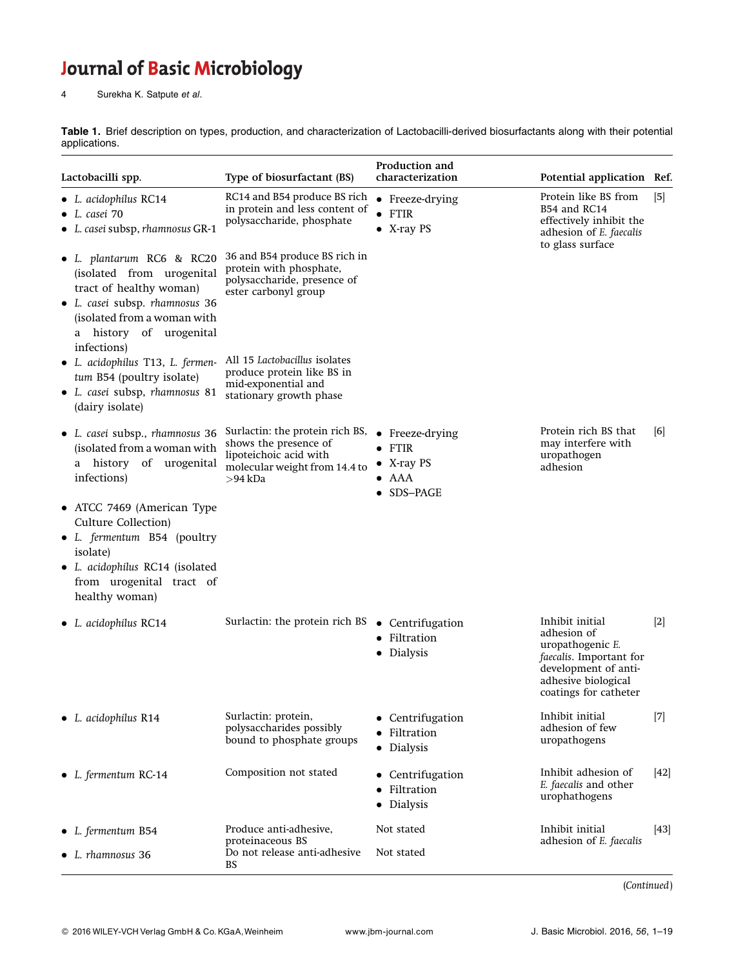4 Surekha K. Satpute et al.

Table 1. Brief description on types, production, and characterization of Lactobacilli-derived biosurfactants along with their potential applications.

| Lactobacilli spp.                                                                                                                                                                                                                             | Type of biosurfactant (BS)                                                                                           | Production and<br>characterization                                   | Potential application Ref.                                                                                                                            |                 |
|-----------------------------------------------------------------------------------------------------------------------------------------------------------------------------------------------------------------------------------------------|----------------------------------------------------------------------------------------------------------------------|----------------------------------------------------------------------|-------------------------------------------------------------------------------------------------------------------------------------------------------|-----------------|
| • L. acidophilus RC14<br>$\bullet$ L. casei 70<br>• L. casei subsp, rhamnosus GR-1                                                                                                                                                            | RC14 and B54 produce BS rich<br>in protein and less content of<br>polysaccharide, phosphate                          | • Freeze-drying<br>$\bullet$ FTIR<br>$\bullet$ X-ray PS              | Protein like BS from<br>B54 and RC14<br>effectively inhibit the<br>adhesion of E. faecalis<br>to glass surface                                        | $\vert 5 \vert$ |
| • L. plantarum RC6 & RC20<br>(isolated from urogenital<br>tract of healthy woman)<br>• L. casei subsp. rhamnosus 36<br>(isolated from a woman with<br>a history of urogenital<br>infections)                                                  | 36 and B54 produce BS rich in<br>protein with phosphate,<br>polysaccharide, presence of<br>ester carbonyl group      |                                                                      |                                                                                                                                                       |                 |
| • L. acidophilus T13, L. fermen-<br>tum B54 (poultry isolate)<br>· L. casei subsp, rhamnosus 81<br>(dairy isolate)                                                                                                                            | All 15 <i>Lactobacillus</i> isolates<br>produce protein like BS in<br>mid-exponential and<br>stationary growth phase |                                                                      |                                                                                                                                                       |                 |
| Surlactin: the protein rich BS,<br>• L. casei subsp., rhamnosus 36<br>shows the presence of<br>(isolated from a woman with<br>lipoteichoic acid with<br>history of urogenital<br>a<br>molecular weight from 14.4 to<br>infections)<br>>94 kDa |                                                                                                                      | • Freeze-drying<br>FTIR<br>• X-ray PS<br>$\bullet$ AAA<br>• SDS-PAGE | Protein rich BS that<br>may interfere with<br>uropathogen<br>adhesion                                                                                 | 6               |
| • ATCC 7469 (American Type<br>Culture Collection)<br>• L. fermentum B54 (poultry<br>isolate)<br>• L. acidophilus RC14 (isolated<br>from urogenital tract of<br>healthy woman)                                                                 |                                                                                                                      |                                                                      |                                                                                                                                                       |                 |
| Surlactin: the protein rich BS • Centrifugation<br>• L. acidophilus RC14                                                                                                                                                                      |                                                                                                                      | • Filtration<br>• Dialysis                                           | Inhibit initial<br>adhesion of<br>uropathogenic E.<br>faecalis. Important for<br>development of anti-<br>adhesive biological<br>coatings for catheter | $[2]$           |
| Surlactin: protein,<br>• L. acidophilus R14<br>polysaccharides possibly<br>bound to phosphate groups                                                                                                                                          |                                                                                                                      | • Centrifugation<br>• Filtration<br>• Dialysis                       | Inhibit initial<br>adhesion of few<br>uropathogens                                                                                                    | $[7]$           |
| • L. fermentum RC-14                                                                                                                                                                                                                          | Composition not stated                                                                                               | • Centrifugation<br>Filtration<br>· Dialysis                         | Inhibit adhesion of<br>E. faecalis and other<br>urophathogens                                                                                         | $[42]$          |
| • L. fermentum B54                                                                                                                                                                                                                            | Produce anti-adhesive,                                                                                               | Not stated                                                           | Inhibit initial<br>adhesion of E. faecalis                                                                                                            | $[43]$          |
| proteinaceous BS<br>Do not release anti-adhesive<br>• L. rhamnosus 36<br>BS                                                                                                                                                                   |                                                                                                                      | Not stated                                                           |                                                                                                                                                       |                 |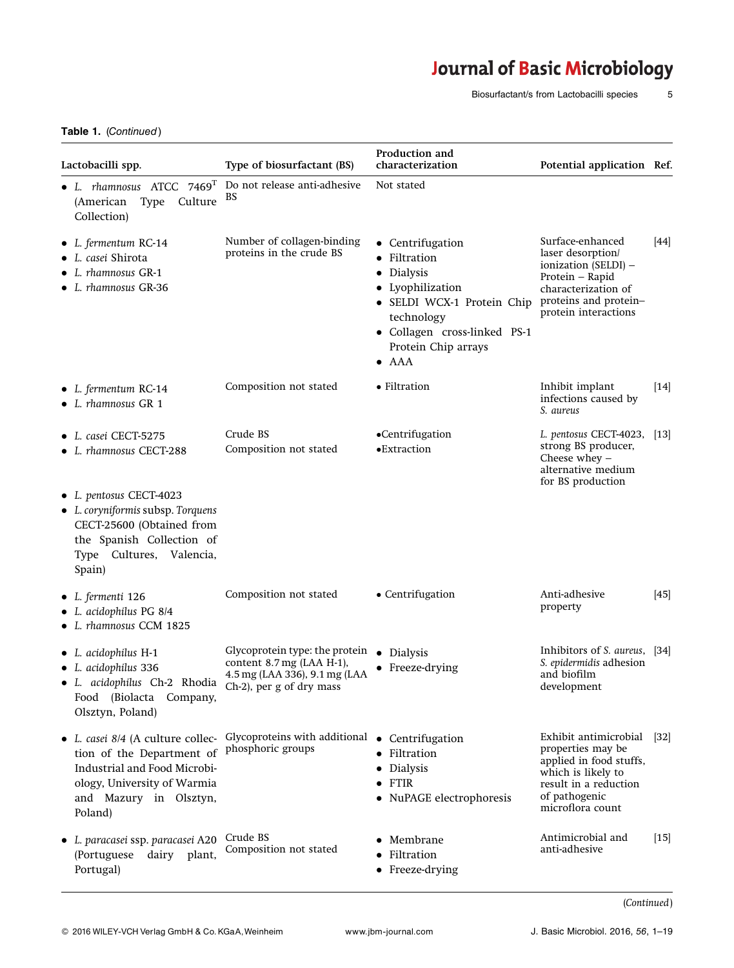Biosurfactant/s from Lactobacilli species 5

#### Table 1. (Continued)

| Lactobacilli spp.                                                                                                                                                                                                                                                     | Type of biosurfactant (BS)                             | Production and<br>characterization                                                                                                                                                                   | Potential application Ref.                                                                                                                                |        |
|-----------------------------------------------------------------------------------------------------------------------------------------------------------------------------------------------------------------------------------------------------------------------|--------------------------------------------------------|------------------------------------------------------------------------------------------------------------------------------------------------------------------------------------------------------|-----------------------------------------------------------------------------------------------------------------------------------------------------------|--------|
| • L. rhamnosus $\textrm{ATCC}$ 7469 <sup>T</sup> Do not release anti-adhesive<br>Culture<br>(American<br><b>Type</b><br>Collection)                                                                                                                                   | BS                                                     | Not stated                                                                                                                                                                                           |                                                                                                                                                           |        |
| • L. fermentum RC-14<br>• L. casei Shirota<br>• L. rhamnosus GR-1<br>• L. rhamnosus GR-36                                                                                                                                                                             | Number of collagen-binding<br>proteins in the crude BS | • Centrifugation<br>Filtration<br>$\bullet$<br>Dialysis<br>٠<br>• Lyophilization<br>· SELDI WCX-1 Protein Chip<br>technology<br>· Collagen cross-linked PS-1<br>Protein Chip arrays<br>$\bullet$ AAA | Surface-enhanced<br>laser desorption/<br>ionization (SELDI) -<br>Protein - Rapid<br>characterization of<br>proteins and protein-<br>protein interactions  | 44     |
| • L. fermentum RC-14<br>• L. rhamnosus GR 1                                                                                                                                                                                                                           | Composition not stated                                 | • Filtration                                                                                                                                                                                         | Inhibit implant<br>infections caused by<br>S. aureus                                                                                                      | $[14]$ |
| • L. casei CECT-5275<br>• L. rhamnosus CECT-288                                                                                                                                                                                                                       | Crude BS<br>Composition not stated                     | •Centrifugation<br>•Extraction                                                                                                                                                                       | L. pentosus CECT-4023,<br>strong BS producer,<br>Cheese whey -<br>alternative medium<br>for BS production                                                 | 13     |
| • L. pentosus CECT-4023<br>• L. coryniformis subsp. Torquens<br>CECT-25600 (Obtained from<br>the Spanish Collection of<br>Cultures, Valencia,<br>Type<br>Spain)                                                                                                       |                                                        |                                                                                                                                                                                                      |                                                                                                                                                           |        |
| • L. fermenti 126<br>• L. acidophilus PG 8/4<br>• L. rhamnosus CCM 1825                                                                                                                                                                                               | Composition not stated                                 | • Centrifugation                                                                                                                                                                                     | Anti-adhesive<br>property                                                                                                                                 | $[45]$ |
| Glycoprotein type: the protein · Dialysis<br>• L. acidophilus H-1<br>content 8.7 mg (LAA H-1),<br>• L. acidophilus 336<br>4.5 mg (LAA 336), 9.1 mg (LAA<br>· L. acidophilus Ch-2 Rhodia<br>Ch-2), per g of dry mass<br>Food (Biolacta<br>Company,<br>Olsztyn, Poland) |                                                        | Freeze-drying                                                                                                                                                                                        | Inhibitors of S. aureus,<br>S. epidermidis adhesion<br>and biofilm<br>development                                                                         | 34     |
| • L. casei 8/4 (A culture collec-<br>tion of the Department of<br>Industrial and Food Microbi-<br>ology, University of Warmia<br>and Mazury in Olsztyn,<br>Poland)                                                                                                    | Glycoproteins with additional<br>phosphoric groups     | • Centrifugation<br>• Filtration<br>Dialysis<br>$\bullet$<br>$\bullet$ FTIR<br>• NuPAGE electrophoresis                                                                                              | Exhibit antimicrobial<br>properties may be<br>applied in food stuffs,<br>which is likely to<br>result in a reduction<br>of pathogenic<br>microflora count | 32     |
| • L. paracasei ssp. paracasei A20<br>dairy plant,<br>(Portuguese<br>Portugal)                                                                                                                                                                                         | Crude BS<br>Composition not stated                     | $\bullet$ Membrane<br>Filtration<br>• Freeze-drying                                                                                                                                                  | Antimicrobial and<br>anti-adhesive                                                                                                                        | 15     |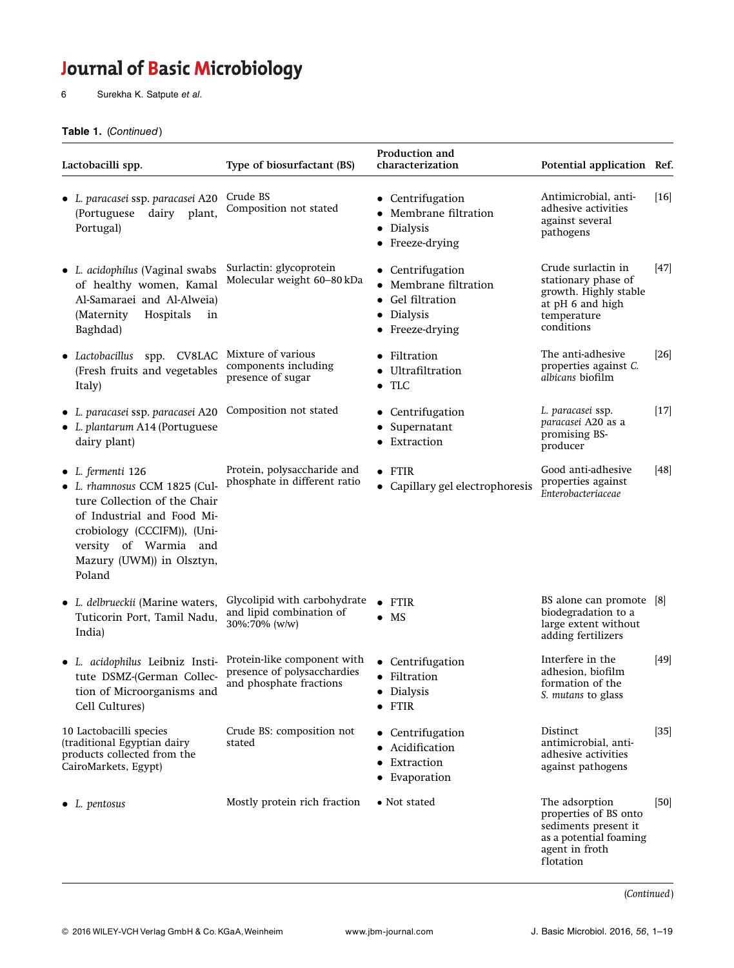6 Surekha K. Satpute et al.

#### Table 1. (Continued)

| Lactobacilli spp.                                                                                                                                                                                                                                                              | Type of biosurfactant (BS)                                                            | Production and<br>characterization                                                                | Potential application Ref.                                                                                               |        |  |
|--------------------------------------------------------------------------------------------------------------------------------------------------------------------------------------------------------------------------------------------------------------------------------|---------------------------------------------------------------------------------------|---------------------------------------------------------------------------------------------------|--------------------------------------------------------------------------------------------------------------------------|--------|--|
| • L. paracasei ssp. paracasei A20<br>dairy plant,<br>(Portuguese<br>Portugal)                                                                                                                                                                                                  | Crude BS<br>Composition not stated                                                    | • Centrifugation<br>Membrane filtration<br>• Dialysis<br>• Freeze-drying                          | Antimicrobial, anti-<br>adhesive activities<br>against several<br>pathogens                                              | $[16]$ |  |
| • L. acidophilus (Vaginal swabs<br>of healthy women, Kamal<br>Al-Samaraei and Al-Alweia)<br>(Maternity<br>Hospitals<br>in<br>Baghdad)                                                                                                                                          | Surlactin: glycoprotein<br>Molecular weight 60-80 kDa                                 | • Centrifugation<br>Membrane filtration<br><b>Gel filtration</b><br>• Dialysis<br>• Freeze-drying | Crude surlactin in<br>stationary phase of<br>growth. Highly stable<br>at pH 6 and high<br>temperature<br>conditions      | $[47]$ |  |
| · Lactobacillus spp. CV8LAC<br>(Fresh fruits and vegetables<br>Italy)                                                                                                                                                                                                          | Mixture of various<br>components including<br>presence of sugar                       | • Filtration<br>Ultrafiltration<br>$\bullet$ TLC                                                  | The anti-adhesive<br>properties against C.<br>albicans biofilm                                                           | $[26]$ |  |
| • L. paracasei ssp. paracasei A20<br>• L. plantarum A14 (Portuguese<br>dairy plant)                                                                                                                                                                                            | Composition not stated                                                                | • Centrifugation<br>Supernatant<br>Extraction                                                     | L. paracasei ssp.<br>paracasei A20 as a<br>promising BS-<br>producer                                                     | $[17]$ |  |
| Protein, polysaccharide and<br>• L. fermenti 126<br>phosphate in different ratio<br>• L. rhamnosus CCM 1825 (Cul-<br>ture Collection of the Chair<br>of Industrial and Food Mi-<br>crobiology (CCCIFM)), (Uni-<br>versity of Warmia and<br>Mazury (UWM)) in Olsztyn,<br>Poland |                                                                                       | $\bullet$ FTIR<br>• Capillary gel electrophoresis                                                 | Good anti-adhesive<br>properties against<br>Enterobacteriaceae                                                           | $[48]$ |  |
| • L. delbrueckii (Marine waters,<br>Tuticorin Port, Tamil Nadu,<br>India)                                                                                                                                                                                                      | Glycolipid with carbohydrate<br>and lipid combination of<br>30%:70% (w/w)             | $\bullet$ FTIR<br>$\bullet$ MS                                                                    | BS alone can promote [8]<br>biodegradation to a<br>large extent without<br>adding fertilizers                            |        |  |
| · L. acidophilus Leibniz Insti-<br>tute DSMZ-(German Collec-<br>tion of Microorganisms and<br>Cell Cultures)                                                                                                                                                                   | Protein-like component with<br>presence of polysacchardies<br>and phosphate fractions | • Centrifugation<br>• Filtration<br>• Dialysis<br>$\bullet$ FTIR                                  | Interfere in the<br>adhesion, biofilm<br>formation of the<br>S. mutans to glass                                          | $[49]$ |  |
| 10 Lactobacilli species<br>(traditional Egyptian dairy<br>products collected from the<br>CairoMarkets, Egypt)                                                                                                                                                                  | Crude BS: composition not<br>stated                                                   | • Centrifugation<br>Acidification<br>Extraction<br>• Evaporation                                  | Distinct<br>antimicrobial, anti-<br>adhesive activities<br>against pathogens                                             | $[35]$ |  |
| Mostly protein rich fraction<br>$\bullet$ L. pentosus                                                                                                                                                                                                                          |                                                                                       | • Not stated                                                                                      | The adsorption<br>properties of BS onto<br>sediments present it<br>as a potential foaming<br>agent in froth<br>flotation | $[50]$ |  |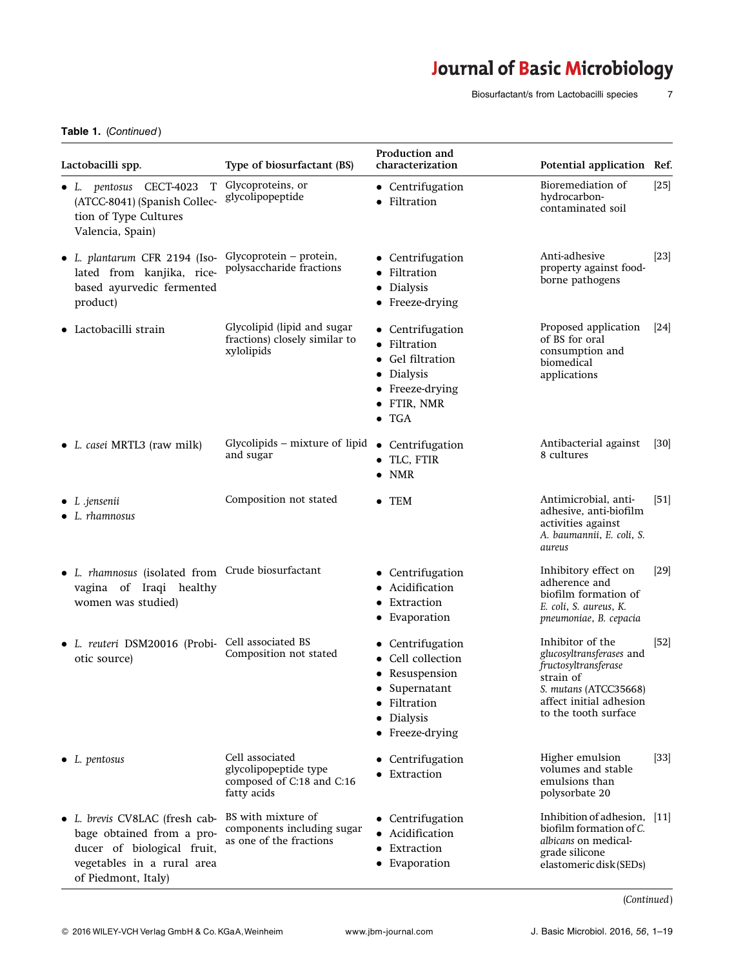Biosurfactant/s from Lactobacilli species 7

| Lactobacilli spp.                                                                                                                              | Type of biosurfactant (BS)                                                           | Production and<br>characterization                                                                                                                | Potential application Ref.                                                                                                                                    |        |
|------------------------------------------------------------------------------------------------------------------------------------------------|--------------------------------------------------------------------------------------|---------------------------------------------------------------------------------------------------------------------------------------------------|---------------------------------------------------------------------------------------------------------------------------------------------------------------|--------|
| • L. pentosus CECT-4023<br>T<br>(ATCC-8041) (Spanish Collec-<br>tion of Type Cultures<br>Valencia, Spain)                                      | Glycoproteins, or<br>glycolipopeptide                                                | • Centrifugation<br>• Filtration                                                                                                                  | Bioremediation of<br>hydrocarbon-<br>contaminated soil                                                                                                        | $[25]$ |
| • L. plantarum CFR 2194 (Iso-<br>lated from kanjika, rice-<br>based ayurvedic fermented<br>product)                                            | Glycoprotein – protein,<br>polysaccharide fractions                                  | • Centrifugation<br>Filtration<br>Dialysis<br>٠<br>Freeze-drying                                                                                  | Anti-adhesive<br>property against food-<br>borne pathogens                                                                                                    | $[23]$ |
| · Lactobacilli strain                                                                                                                          | Glycolipid (lipid and sugar<br>fractions) closely similar to<br>xylolipids           | • Centrifugation<br>Filtration<br><b>Gel filtration</b><br>Dialysis<br>Freeze-drying<br>FTIR, NMR<br>TGA                                          | Proposed application<br>of BS for oral<br>consumption and<br>biomedical<br>applications                                                                       | $[24]$ |
| • L. casei MRTL3 (raw milk)                                                                                                                    | Glycolipids – mixture of lipid<br>and sugar                                          | • Centrifugation<br>· TLC, FTIR<br>$\bullet$ NMR                                                                                                  | Antibacterial against<br>8 cultures                                                                                                                           | $[30]$ |
| $\bullet$ L .jensenii<br>$\bullet$ L. rhamnosus                                                                                                | Composition not stated                                                               | $\bullet$ TEM                                                                                                                                     | Antimicrobial, anti-<br>adhesive, anti-biofilm<br>activities against<br>A. baumannii, E. coli, S.<br>aureus                                                   | $[51]$ |
| • L. rhamnosus (isolated from Crude biosurfactant<br>vagina of Iraqi healthy<br>women was studied)                                             |                                                                                      | • Centrifugation<br>Acidification<br>Extraction<br>Evaporation                                                                                    | Inhibitory effect on<br>adherence and<br>biofilm formation of<br>E. coli, S. aureus, K.<br>pneumoniae, B. cepacia                                             | [29]   |
| Cell associated BS<br>• L. reuteri DSM20016 (Probi-<br>Composition not stated<br>otic source)                                                  |                                                                                      | • Centrifugation<br>Cell collection<br>$\bullet$<br>Resuspension<br>٠<br>Supernatant<br>٠<br>Filtration<br>Dialysis<br>$\bullet$<br>Freeze-drying | Inhibitor of the<br>glucosyltransferases and<br>fructosyltransferase<br>strain of<br>S. mutans (ATCC35668)<br>affect initial adhesion<br>to the tooth surface | $[52]$ |
| $\bullet$ L. pentosus                                                                                                                          | Cell associated<br>glycolipopeptide type<br>composed of C:18 and C:16<br>fatty acids | Centrifugation<br>Extraction                                                                                                                      | Higher emulsion<br>volumes and stable<br>emulsions than<br>polysorbate 20                                                                                     | $[33]$ |
| • L. brevis CV8LAC (fresh cab-<br>bage obtained from a pro-<br>ducer of biological fruit,<br>vegetables in a rural area<br>of Piedmont, Italy) | BS with mixture of<br>components including sugar<br>as one of the fractions          | Centrifugation<br>Acidification<br>Extraction<br>Evaporation                                                                                      | Inhibition of adhesion,<br>biofilm formation of C.<br><i>albicans</i> on medical-<br>grade silicone<br>elastomeric disk (SEDs)                                | 11     |

#### Table 1. (Continued)

2016 WILEY-VCH Verlag GmbH & Co.KGaA,Weinheim www.jbm-journal.com J. Basic Microbiol. 2016, <sup>56</sup>, 1–<sup>19</sup>

(Continued)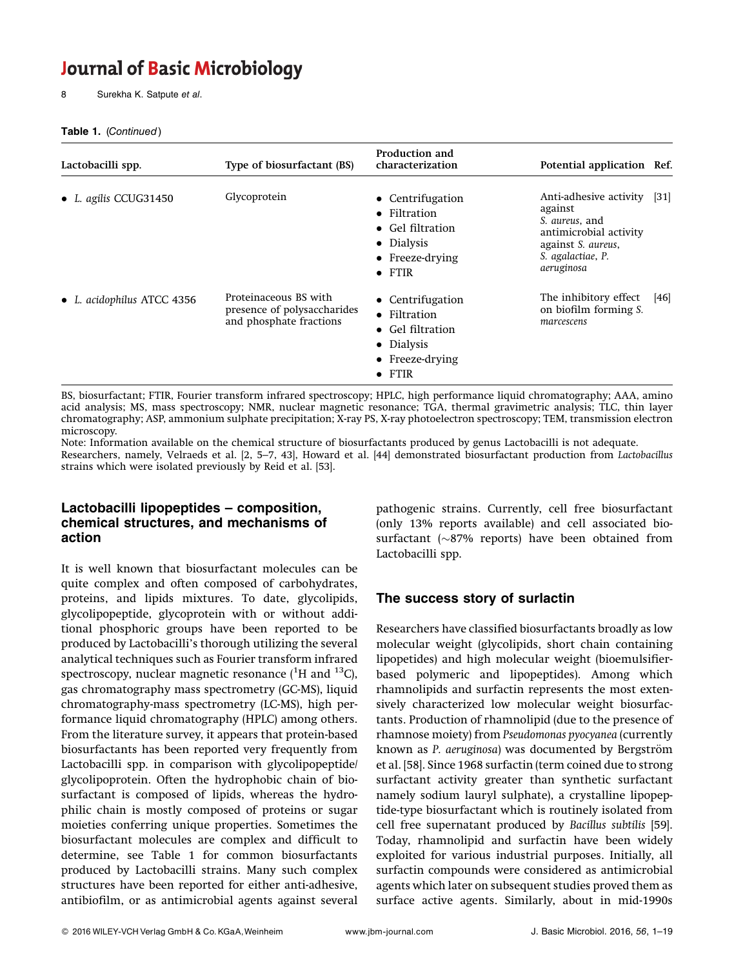8 Surekha K. Satpute et al.

#### Table 1. (Continued)

| Lactobacilli spp.          | Type of biosurfactant (BS)                                                      | Production and<br>characterization                                                                              | Potential application Ref.                                                                                                                             |                   |
|----------------------------|---------------------------------------------------------------------------------|-----------------------------------------------------------------------------------------------------------------|--------------------------------------------------------------------------------------------------------------------------------------------------------|-------------------|
| • L. agilis CCUG31450      | Glycoprotein                                                                    | • Centrifugation<br>• Filtration<br>• Gel filtration<br>• Dialysis<br>• Freeze-drying<br>$\bullet$ FTIR         | Anti-adhesive activity<br>against<br>S. <i>aureus</i> , and<br>antimicrobial activity<br>against <i>S. aureus</i> ,<br>S. agalactiae, P.<br>aeruginosa | $\left[31\right]$ |
| • L. acidophilus ATCC 4356 | Proteinaceous BS with<br>presence of polysaccharides<br>and phosphate fractions | • Centrifugation<br>$\bullet$ Filtration<br>• Gel filtration<br>• Dialysis<br>• Freeze-drying<br>$\bullet$ FTIR | The inhibitory effect<br>on biofilm forming S.<br>marcescens                                                                                           | 1461              |

BS, biosurfactant; FTIR, Fourier transform infrared spectroscopy; HPLC, high performance liquid chromatography; AAA, amino acid analysis; MS, mass spectroscopy; NMR, nuclear magnetic resonance; TGA, thermal gravimetric analysis; TLC, thin layer chromatography; ASP, ammonium sulphate precipitation; X-ray PS, X-ray photoelectron spectroscopy; TEM, transmission electron microscopy.

Note: Information available on the chemical structure of biosurfactants produced by genus Lactobacilli is not adequate. Researchers, namely, Velraeds et al. [2, 5–7, 43], Howard et al. [44] demonstrated biosurfactant production from Lactobacillus strains which were isolated previously by Reid et al. [53].

#### Lactobacilli lipopeptides – composition, chemical structures, and mechanisms of action

It is well known that biosurfactant molecules can be quite complex and often composed of carbohydrates, proteins, and lipids mixtures. To date, glycolipids, glycolipopeptide, glycoprotein with or without additional phosphoric groups have been reported to be produced by Lactobacilli's thorough utilizing the several analytical techniques such as Fourier transform infrared spectroscopy, nuclear magnetic resonance ( ${}^{1}$ H and  ${}^{13}$ C), gas chromatography mass spectrometry (GC-MS), liquid chromatography-mass spectrometry (LC-MS), high performance liquid chromatography (HPLC) among others. From the literature survey, it appears that protein-based biosurfactants has been reported very frequently from Lactobacilli spp. in comparison with glycolipopeptide/ glycolipoprotein. Often the hydrophobic chain of biosurfactant is composed of lipids, whereas the hydrophilic chain is mostly composed of proteins or sugar moieties conferring unique properties. Sometimes the biosurfactant molecules are complex and difficult to determine, see Table 1 for common biosurfactants produced by Lactobacilli strains. Many such complex structures have been reported for either anti-adhesive, antibiofilm, or as antimicrobial agents against several pathogenic strains. Currently, cell free biosurfactant (only 13% reports available) and cell associated biosurfactant  $(\sim 87\%$  reports) have been obtained from Lactobacilli spp.

### The success story of surlactin

Researchers have classified biosurfactants broadly as low molecular weight (glycolipids, short chain containing lipopetides) and high molecular weight (bioemulsifierbased polymeric and lipopeptides). Among which rhamnolipids and surfactin represents the most extensively characterized low molecular weight biosurfactants. Production of rhamnolipid (due to the presence of rhamnose moiety) from Pseudomonas pyocyanea (currently known as P. aeruginosa) was documented by Bergström et al. [58]. Since 1968 surfactin (term coined due to strong surfactant activity greater than synthetic surfactant namely sodium lauryl sulphate), a crystalline lipopeptide-type biosurfactant which is routinely isolated from cell free supernatant produced by Bacillus subtilis [59]. Today, rhamnolipid and surfactin have been widely exploited for various industrial purposes. Initially, all surfactin compounds were considered as antimicrobial agents which later on subsequent studies proved them as surface active agents. Similarly, about in mid-1990s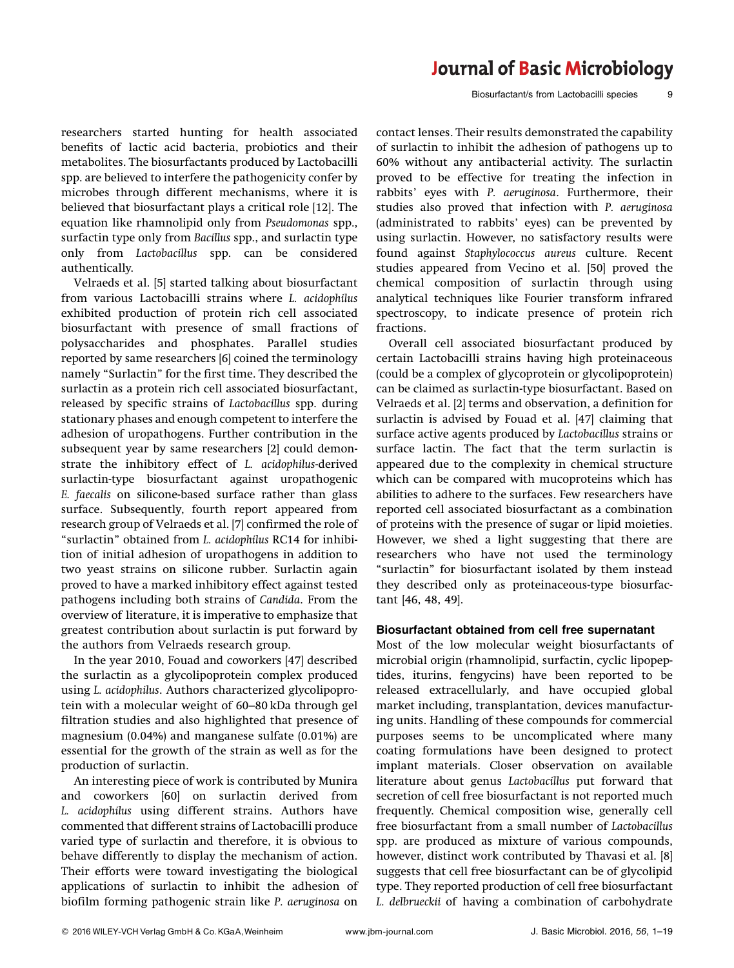Biosurfactant/s from Lactobacilli species 9

researchers started hunting for health associated benefits of lactic acid bacteria, probiotics and their metabolites. The biosurfactants produced by Lactobacilli spp. are believed to interfere the pathogenicity confer by microbes through different mechanisms, where it is believed that biosurfactant plays a critical role [12]. The equation like rhamnolipid only from Pseudomonas spp., surfactin type only from Bacillus spp., and surlactin type only from Lactobacillus spp. can be considered authentically.

Velraeds et al. [5] started talking about biosurfactant from various Lactobacilli strains where L. acidophilus exhibited production of protein rich cell associated biosurfactant with presence of small fractions of polysaccharides and phosphates. Parallel studies reported by same researchers [6] coined the terminology namely "Surlactin" for the first time. They described the surlactin as a protein rich cell associated biosurfactant, released by specific strains of Lactobacillus spp. during stationary phases and enough competent to interfere the adhesion of uropathogens. Further contribution in the subsequent year by same researchers [2] could demonstrate the inhibitory effect of L. acidophilus-derived surlactin-type biosurfactant against uropathogenic E. faecalis on silicone-based surface rather than glass surface. Subsequently, fourth report appeared from research group of Velraeds et al. [7] confirmed the role of "surlactin" obtained from L. acidophilus RC14 for inhibition of initial adhesion of uropathogens in addition to two yeast strains on silicone rubber. Surlactin again proved to have a marked inhibitory effect against tested pathogens including both strains of Candida. From the overview of literature, it is imperative to emphasize that greatest contribution about surlactin is put forward by the authors from Velraeds research group.

In the year 2010, Fouad and coworkers [47] described the surlactin as a glycolipoprotein complex produced using L. acidophilus. Authors characterized glycolipoprotein with a molecular weight of 60–80 kDa through gel filtration studies and also highlighted that presence of magnesium (0.04%) and manganese sulfate (0.01%) are essential for the growth of the strain as well as for the production of surlactin.

An interesting piece of work is contributed by Munira and coworkers [60] on surlactin derived from L. acidophilus using different strains. Authors have commented that different strains of Lactobacilli produce varied type of surlactin and therefore, it is obvious to behave differently to display the mechanism of action. Their efforts were toward investigating the biological applications of surlactin to inhibit the adhesion of biofilm forming pathogenic strain like P. aeruginosa on contact lenses. Their results demonstrated the capability of surlactin to inhibit the adhesion of pathogens up to 60% without any antibacterial activity. The surlactin proved to be effective for treating the infection in rabbits' eyes with P. aeruginosa. Furthermore, their studies also proved that infection with P. aeruginosa (administrated to rabbits' eyes) can be prevented by using surlactin. However, no satisfactory results were found against Staphylococcus aureus culture. Recent studies appeared from Vecino et al. [50] proved the chemical composition of surlactin through using analytical techniques like Fourier transform infrared spectroscopy, to indicate presence of protein rich fractions.

Overall cell associated biosurfactant produced by certain Lactobacilli strains having high proteinaceous (could be a complex of glycoprotein or glycolipoprotein) can be claimed as surlactin-type biosurfactant. Based on Velraeds et al. [2] terms and observation, a definition for surlactin is advised by Fouad et al. [47] claiming that surface active agents produced by Lactobacillus strains or surface lactin. The fact that the term surlactin is appeared due to the complexity in chemical structure which can be compared with mucoproteins which has abilities to adhere to the surfaces. Few researchers have reported cell associated biosurfactant as a combination of proteins with the presence of sugar or lipid moieties. However, we shed a light suggesting that there are researchers who have not used the terminology "surlactin" for biosurfactant isolated by them instead they described only as proteinaceous-type biosurfactant [46, 48, 49].

#### Biosurfactant obtained from cell free supernatant

Most of the low molecular weight biosurfactants of microbial origin (rhamnolipid, surfactin, cyclic lipopeptides, iturins, fengycins) have been reported to be released extracellularly, and have occupied global market including, transplantation, devices manufacturing units. Handling of these compounds for commercial purposes seems to be uncomplicated where many coating formulations have been designed to protect implant materials. Closer observation on available literature about genus Lactobacillus put forward that secretion of cell free biosurfactant is not reported much frequently. Chemical composition wise, generally cell free biosurfactant from a small number of Lactobacillus spp. are produced as mixture of various compounds, however, distinct work contributed by Thavasi et al. [8] suggests that cell free biosurfactant can be of glycolipid type. They reported production of cell free biosurfactant L. delbrueckii of having a combination of carbohydrate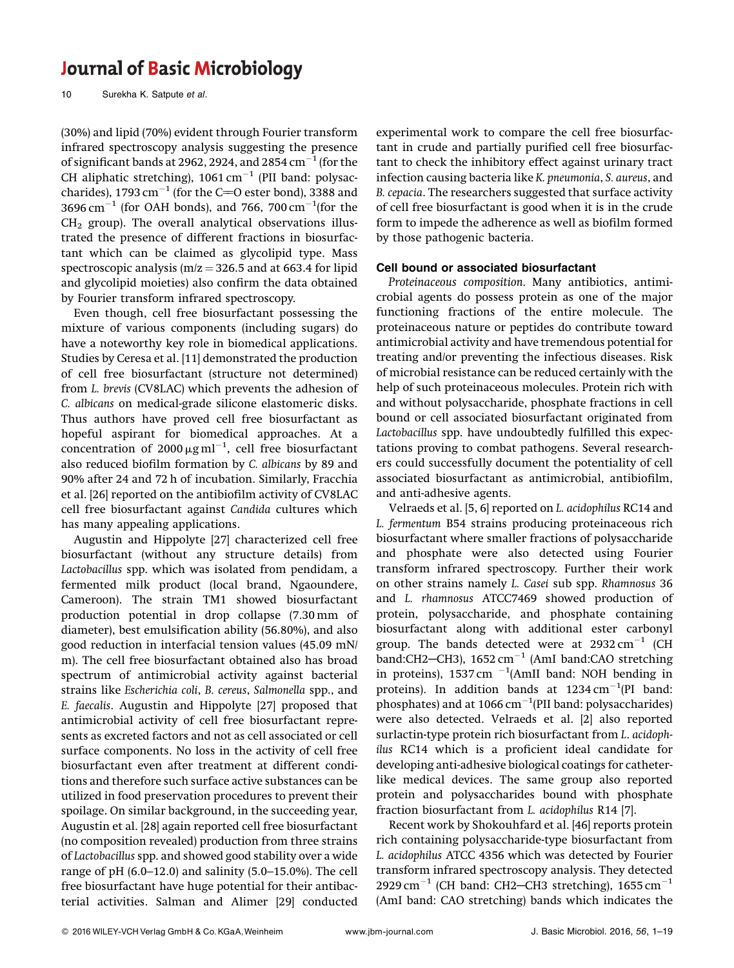10 Surekha K. Satpute et al.

(30%) and lipid (70%) evident through Fourier transform infrared spectroscopy analysis suggesting the presence of significant bands at 2962, 2924, and 2854  $\rm cm^{-1}$  (for the CH aliphatic stretching),  $1061 \text{ cm}^{-1}$  (PII band: polysaccharides), 1793  $cm^{-1}$  (for the C=O ester bond), 3388 and 3696  $\mathrm{cm}^{-1}$  (for OAH bonds), and 766, 700  $\mathrm{cm}^{-1}$ (for the  $CH<sub>2</sub>$  group). The overall analytical observations illustrated the presence of different fractions in biosurfactant which can be claimed as glycolipid type. Mass spectroscopic analysis ( $m/z = 326.5$  and at 663.4 for lipid and glycolipid moieties) also confirm the data obtained by Fourier transform infrared spectroscopy.

Even though, cell free biosurfactant possessing the mixture of various components (including sugars) do have a noteworthy key role in biomedical applications. Studies by Ceresa et al. [11] demonstrated the production of cell free biosurfactant (structure not determined) from L. brevis (CV8LAC) which prevents the adhesion of C. albicans on medical-grade silicone elastomeric disks. Thus authors have proved cell free biosurfactant as hopeful aspirant for biomedical approaches. At a concentration of 2000  $\mu$ g ml<sup>-1</sup>, cell free biosurfactant also reduced biofilm formation by C. albicans by 89 and 90% after 24 and 72 h of incubation. Similarly, Fracchia et al. [26] reported on the antibiofilm activity of CV8LAC cell free biosurfactant against Candida cultures which has many appealing applications.

Augustin and Hippolyte [27] characterized cell free biosurfactant (without any structure details) from Lactobacillus spp. which was isolated from pendidam, a fermented milk product (local brand, Ngaoundere, Cameroon). The strain TM1 showed biosurfactant production potential in drop collapse (7.30 mm of diameter), best emulsification ability (56.80%), and also good reduction in interfacial tension values (45.09 mN/ m). The cell free biosurfactant obtained also has broad spectrum of antimicrobial activity against bacterial strains like Escherichia coli, B. cereus, Salmonella spp., and E. faecalis. Augustin and Hippolyte [27] proposed that antimicrobial activity of cell free biosurfactant represents as excreted factors and not as cell associated or cell surface components. No loss in the activity of cell free biosurfactant even after treatment at different conditions and therefore such surface active substances can be utilized in food preservation procedures to prevent their spoilage. On similar background, in the succeeding year, Augustin et al. [28] again reported cell free biosurfactant (no composition revealed) production from three strains of Lactobacillus spp. and showed good stability over a wide range of pH  $(6.0-12.0)$  and salinity  $(5.0-15.0\%)$ . The cell free biosurfactant have huge potential for their antibacterial activities. Salman and Alimer [29] conducted experimental work to compare the cell free biosurfactant in crude and partially purified cell free biosurfactant to check the inhibitory effect against urinary tract infection causing bacteria like K. pneumonia, S. aureus, and B. cepacia. The researchers suggested that surface activity of cell free biosurfactant is good when it is in the crude form to impede the adherence as well as biofilm formed by those pathogenic bacteria.

#### Cell bound or associated biosurfactant

Proteinaceous composition. Many antibiotics, antimicrobial agents do possess protein as one of the major functioning fractions of the entire molecule. The proteinaceous nature or peptides do contribute toward antimicrobial activity and have tremendous potential for treating and/or preventing the infectious diseases. Risk of microbial resistance can be reduced certainly with the help of such proteinaceous molecules. Protein rich with and without polysaccharide, phosphate fractions in cell bound or cell associated biosurfactant originated from Lactobacillus spp. have undoubtedly fulfilled this expectations proving to combat pathogens. Several researchers could successfully document the potentiality of cell associated biosurfactant as antimicrobial, antibiofilm, and anti-adhesive agents.

Velraeds et al. [5, 6] reported on L. acidophilus RC14 and L. fermentum B54 strains producing proteinaceous rich biosurfactant where smaller fractions of polysaccharide and phosphate were also detected using Fourier transform infrared spectroscopy. Further their work on other strains namely L. Casei sub spp. Rhamnosus 36 and L. rhamnosus ATCC7469 showed production of protein, polysaccharide, and phosphate containing biosurfactant along with additional ester carbonyl group. The bands detected were at  $2932 \text{ cm}^{-1}$  (CH band:CH2-CH3),  $1652 \text{ cm}^{-1}$  (AmI band:CAO stretching in proteins),  $1537 \text{ cm}^{-1}$ (AmII band: NOH bending in proteins). In addition bands at  $1234\,\mathrm{cm}^{-1}$ (PI band: phosphates) and at 1066  $\text{cm}^{-1}$ (PII band: polysaccharides) were also detected. Velraeds et al. [2] also reported surlactin-type protein rich biosurfactant from L. acidophilus RC14 which is a proficient ideal candidate for developing anti-adhesive biological coatings for catheterlike medical devices. The same group also reported protein and polysaccharides bound with phosphate fraction biosurfactant from L. acidophilus R14 [7].

Recent work by Shokouhfard et al. [46] reports protein rich containing polysaccharide-type biosurfactant from L. acidophilus ATCC 4356 which was detected by Fourier transform infrared spectroscopy analysis. They detected 2929 cm<sup>-1</sup> (CH band: CH2-CH3 stretching),  $1655 \text{ cm}^{-1}$ (AmI band: CAO stretching) bands which indicates the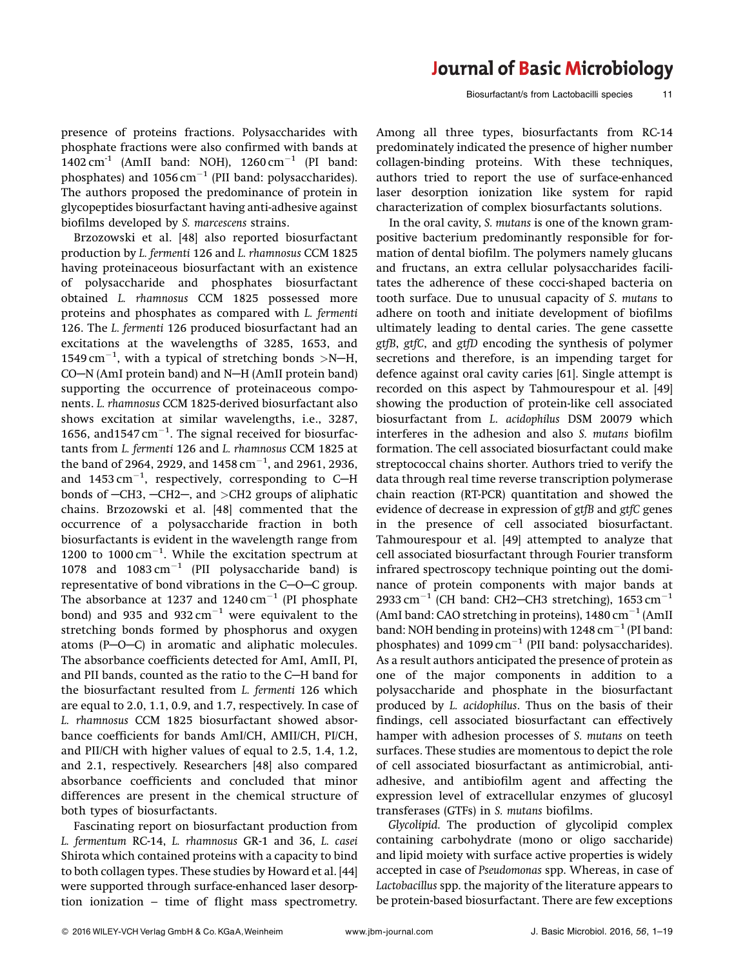presence of proteins fractions. Polysaccharides with phosphate fractions were also confirmed with bands at  $1402 \text{ cm}^{-1}$  (AmII band: NOH),  $1260 \text{ cm}^{-1}$  (PI band: phosphates) and  $1056 \text{ cm}^{-1}$  (PII band: polysaccharides). The authors proposed the predominance of protein in glycopeptides biosurfactant having anti-adhesive against biofilms developed by S. marcescens strains.

Brzozowski et al. [48] also reported biosurfactant production by L. fermenti 126 and L. rhamnosus CCM 1825 having proteinaceous biosurfactant with an existence of polysaccharide and phosphates biosurfactant obtained L. rhamnosus CCM 1825 possessed more proteins and phosphates as compared with L. fermenti 126. The L. fermenti 126 produced biosurfactant had an excitations at the wavelengths of 3285, 1653, and 1549 cm<sup>-1</sup>, with a typical of stretching bonds >N-H, CO─N (AmI protein band) and N─H (AmII protein band) supporting the occurrence of proteinaceous components. L. rhamnosus CCM 1825-derived biosurfactant also shows excitation at similar wavelengths, i.e., 3287, 1656, and 1547  $cm^{-1}$ . The signal received for biosurfactants from L. fermenti 126 and L. rhamnosus CCM 1825 at the band of 2964, 2929, and 1458  $\rm cm^{-1}$ , and 2961, 2936, and  $1453\,\mathrm{cm}^{-1}$ , respectively, corresponding to C—H bonds of  $-CH3$ ,  $-CH2$ , and  $>CH2$  groups of aliphatic chains. Brzozowski et al. [48] commented that the occurrence of a polysaccharide fraction in both biosurfactants is evident in the wavelength range from 1200 to  $1000 \text{ cm}^{-1}$ . While the excitation spectrum at 1078 and  $1083 \text{ cm}^{-1}$  (PII polysaccharide band) is representative of bond vibrations in the C─O─C group. The absorbance at 1237 and  $1240 \text{ cm}^{-1}$  (PI phosphate bond) and 935 and 932  $cm^{-1}$  were equivalent to the stretching bonds formed by phosphorus and oxygen atoms (P─O─C) in aromatic and aliphatic molecules. The absorbance coefficients detected for AmI, AmII, PI, and PII bands, counted as the ratio to the C─H band for the biosurfactant resulted from L. fermenti 126 which are equal to 2.0, 1.1, 0.9, and 1.7, respectively. In case of L. rhamnosus CCM 1825 biosurfactant showed absorbance coefficients for bands AmI/CH, AMII/CH, PI/CH, and PII/CH with higher values of equal to 2.5, 1.4, 1.2, and 2.1, respectively. Researchers [48] also compared absorbance coefficients and concluded that minor differences are present in the chemical structure of both types of biosurfactants.

Fascinating report on biosurfactant production from L. fermentum RC-14, L. rhamnosus GR-1 and 36, L. casei Shirota which contained proteins with a capacity to bind to both collagen types. These studies by Howard et al. [44] were supported through surface-enhanced laser desorption ionization – time of flight mass spectrometry.

Among all three types, biosurfactants from RC-14 predominately indicated the presence of higher number collagen-binding proteins. With these techniques, authors tried to report the use of surface-enhanced laser desorption ionization like system for rapid characterization of complex biosurfactants solutions.

In the oral cavity, S. mutans is one of the known grampositive bacterium predominantly responsible for formation of dental biofilm. The polymers namely glucans and fructans, an extra cellular polysaccharides facilitates the adherence of these cocci-shaped bacteria on tooth surface. Due to unusual capacity of S. mutans to adhere on tooth and initiate development of biofilms ultimately leading to dental caries. The gene cassette gtfB, gtfC, and gtfD encoding the synthesis of polymer secretions and therefore, is an impending target for defence against oral cavity caries [61]. Single attempt is recorded on this aspect by Tahmourespour et al. [49] showing the production of protein-like cell associated biosurfactant from L. acidophilus DSM 20079 which interferes in the adhesion and also S. mutans biofilm formation. The cell associated biosurfactant could make streptococcal chains shorter. Authors tried to verify the data through real time reverse transcription polymerase chain reaction (RT-PCR) quantitation and showed the evidence of decrease in expression of gtfB and gtfC genes in the presence of cell associated biosurfactant. Tahmourespour et al. [49] attempted to analyze that cell associated biosurfactant through Fourier transform infrared spectroscopy technique pointing out the dominance of protein components with major bands at 2933 cm<sup>-1</sup> (CH band: CH2-CH3 stretching),  $1653 \text{ cm}^{-1}$ (AmI band: CAO stretching in proteins),  $1480 \text{ cm}^{-1}$  (AmII band: NOH bending in proteins) with  $1248 \text{ cm}^{-1}$  (PI band: phosphates) and  $1099 \text{ cm}^{-1}$  (PII band: polysaccharides). As a result authors anticipated the presence of protein as one of the major components in addition to a polysaccharide and phosphate in the biosurfactant produced by L. acidophilus. Thus on the basis of their findings, cell associated biosurfactant can effectively hamper with adhesion processes of S. mutans on teeth surfaces. These studies are momentous to depict the role of cell associated biosurfactant as antimicrobial, antiadhesive, and antibiofilm agent and affecting the expression level of extracellular enzymes of glucosyl transferases (GTFs) in S. mutans biofilms.

Glycolipid. The production of glycolipid complex containing carbohydrate (mono or oligo saccharide) and lipid moiety with surface active properties is widely accepted in case of Pseudomonas spp. Whereas, in case of Lactobacillus spp. the majority of the literature appears to be protein-based biosurfactant. There are few exceptions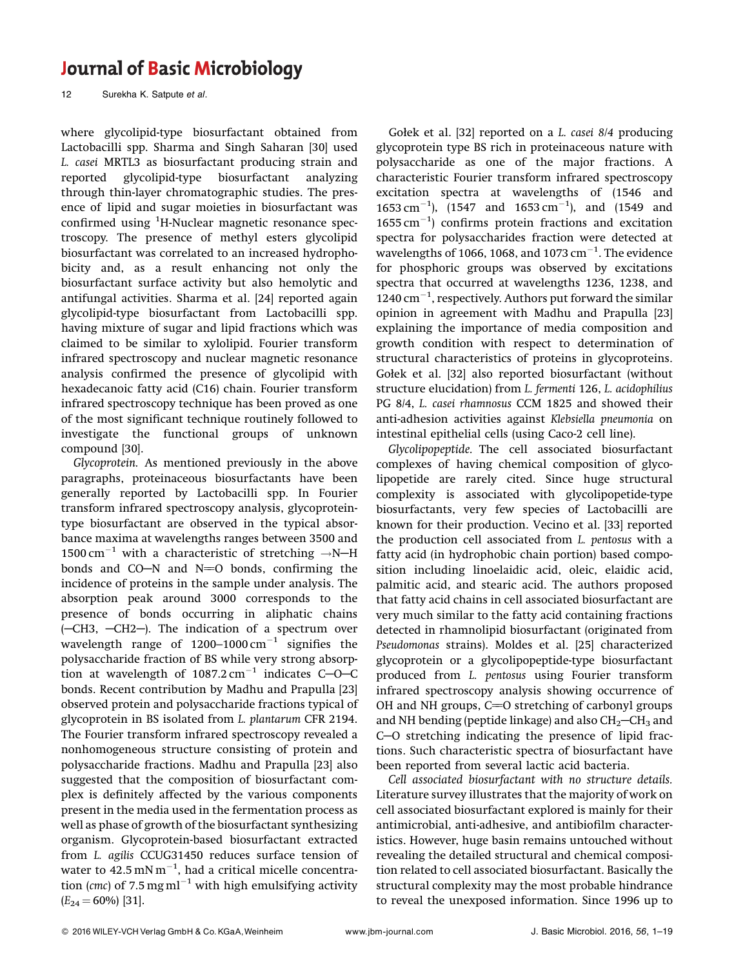12 Surekha K. Satpute et al.

where glycolipid-type biosurfactant obtained from Lactobacilli spp. Sharma and Singh Saharan [30] used L. casei MRTL3 as biosurfactant producing strain and reported glycolipid-type biosurfactant analyzing through thin-layer chromatographic studies. The presence of lipid and sugar moieties in biosurfactant was confirmed using <sup>1</sup>H-Nuclear magnetic resonance spectroscopy. The presence of methyl esters glycolipid biosurfactant was correlated to an increased hydrophobicity and, as a result enhancing not only the biosurfactant surface activity but also hemolytic and antifungal activities. Sharma et al. [24] reported again glycolipid-type biosurfactant from Lactobacilli spp. having mixture of sugar and lipid fractions which was claimed to be similar to xylolipid. Fourier transform infrared spectroscopy and nuclear magnetic resonance analysis confirmed the presence of glycolipid with hexadecanoic fatty acid (C16) chain. Fourier transform infrared spectroscopy technique has been proved as one of the most significant technique routinely followed to investigate the functional groups of unknown compound [30].

Glycoprotein. As mentioned previously in the above paragraphs, proteinaceous biosurfactants have been generally reported by Lactobacilli spp. In Fourier transform infrared spectroscopy analysis, glycoproteintype biosurfactant are observed in the typical absorbance maxima at wavelengths ranges between 3500 and 1500 cm<sup>-1</sup> with a characteristic of stretching  $\rightarrow$ N-H bonds and  $CO-N$  and  $N=O$  bonds, confirming the incidence of proteins in the sample under analysis. The absorption peak around 3000 corresponds to the presence of bonds occurring in aliphatic chains (─CH3, ─CH2─). The indication of a spectrum over wavelength range of  $1200-1000 \text{ cm}^{-1}$  signifies the polysaccharide fraction of BS while very strong absorption at wavelength of  $1087.2 \text{ cm}^{-1}$  indicates C-O-C bonds. Recent contribution by Madhu and Prapulla [23] observed protein and polysaccharide fractions typical of glycoprotein in BS isolated from L. plantarum CFR 2194. The Fourier transform infrared spectroscopy revealed a nonhomogeneous structure consisting of protein and polysaccharide fractions. Madhu and Prapulla [23] also suggested that the composition of biosurfactant complex is definitely affected by the various components present in the media used in the fermentation process as well as phase of growth of the biosurfactant synthesizing organism. Glycoprotein-based biosurfactant extracted from L. agilis CCUG31450 reduces surface tension of water to 42.5 mN  $\mathrm{m}^{-1}$ , had a critical micelle concentration (*cmc*) of 7.5 mg ml<sup> $-1$ </sup> with high emulsifying activity  $(E_{24} = 60\%)$  [31].

Gołek et al. [32] reported on a L. casei 8/4 producing glycoprotein type BS rich in proteinaceous nature with polysaccharide as one of the major fractions. A characteristic Fourier transform infrared spectroscopy excitation spectra at wavelengths of (1546 and  $1653 \text{ cm}^{-1}$ ),  $(1547 \text{ and } 1653 \text{ cm}^{-1})$ , and  $(1549 \text{ and } 1659 \text{ cm}^{-1})$  $1655 \text{ cm}^{-1}$ ) confirms protein fractions and excitation spectra for polysaccharides fraction were detected at wavelengths of 1066, 1068, and 1073  $\rm cm^{-1}.$  The evidence for phosphoric groups was observed by excitations spectra that occurred at wavelengths 1236, 1238, and  $1240 \text{ cm}^{-1}$ , respectively. Authors put forward the similar opinion in agreement with Madhu and Prapulla [23] explaining the importance of media composition and growth condition with respect to determination of structural characteristics of proteins in glycoproteins. Gołek et al. [32] also reported biosurfactant (without structure elucidation) from L. fermenti 126, L. acidophilius PG 8/4, L. casei rhamnosus CCM 1825 and showed their anti-adhesion activities against Klebsiella pneumonia on intestinal epithelial cells (using Caco-2 cell line).

Glycolipopeptide. The cell associated biosurfactant complexes of having chemical composition of glycolipopetide are rarely cited. Since huge structural complexity is associated with glycolipopetide-type biosurfactants, very few species of Lactobacilli are known for their production. Vecino et al. [33] reported the production cell associated from L. pentosus with a fatty acid (in hydrophobic chain portion) based composition including linoelaidic acid, oleic, elaidic acid, palmitic acid, and stearic acid. The authors proposed that fatty acid chains in cell associated biosurfactant are very much similar to the fatty acid containing fractions detected in rhamnolipid biosurfactant (originated from Pseudomonas strains). Moldes et al. [25] characterized glycoprotein or a glycolipopeptide-type biosurfactant produced from L. pentosus using Fourier transform infrared spectroscopy analysis showing occurrence of OH and NH groups,  $C=0$  stretching of carbonyl groups and NH bending (peptide linkage) and also  $CH<sub>2</sub>$ –CH<sub>3</sub> and C─O stretching indicating the presence of lipid fractions. Such characteristic spectra of biosurfactant have been reported from several lactic acid bacteria.

Cell associated biosurfactant with no structure details. Literature survey illustrates that the majority of work on cell associated biosurfactant explored is mainly for their antimicrobial, anti-adhesive, and antibiofilm characteristics. However, huge basin remains untouched without revealing the detailed structural and chemical composition related to cell associated biosurfactant. Basically the structural complexity may the most probable hindrance to reveal the unexposed information. Since 1996 up to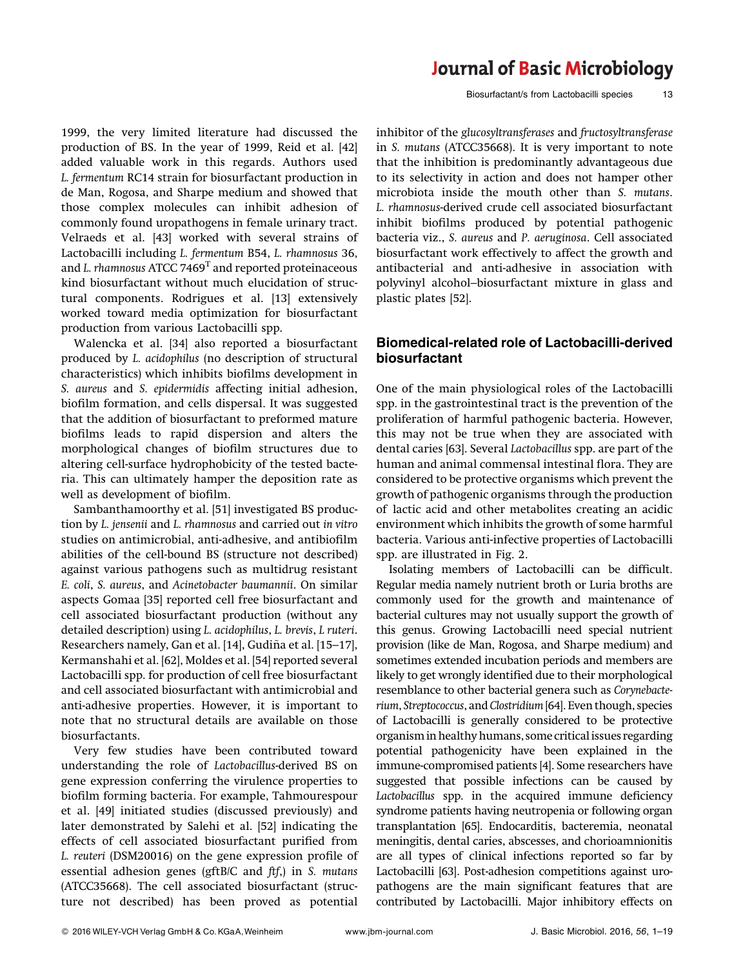1999, the very limited literature had discussed the production of BS. In the year of 1999, Reid et al. [42] added valuable work in this regards. Authors used L. fermentum RC14 strain for biosurfactant production in de Man, Rogosa, and Sharpe medium and showed that those complex molecules can inhibit adhesion of commonly found uropathogens in female urinary tract. Velraeds et al. [43] worked with several strains of Lactobacilli including L. fermentum B54, L. rhamnosus 36, and L. rhamnosus ATCC 7469 $^T$  and reported proteinaceous kind biosurfactant without much elucidation of structural components. Rodrigues et al. [13] extensively worked toward media optimization for biosurfactant production from various Lactobacilli spp.

Walencka et al. [34] also reported a biosurfactant produced by L. acidophilus (no description of structural characteristics) which inhibits biofilms development in S. aureus and S. epidermidis affecting initial adhesion, biofilm formation, and cells dispersal. It was suggested that the addition of biosurfactant to preformed mature biofilms leads to rapid dispersion and alters the morphological changes of biofilm structures due to altering cell-surface hydrophobicity of the tested bacteria. This can ultimately hamper the deposition rate as well as development of biofilm.

Sambanthamoorthy et al. [51] investigated BS production by L. jensenii and L. rhamnosus and carried out in vitro studies on antimicrobial, anti-adhesive, and antibiofilm abilities of the cell-bound BS (structure not described) against various pathogens such as multidrug resistant E. coli, S. aureus, and Acinetobacter baumannii. On similar aspects Gomaa [35] reported cell free biosurfactant and cell associated biosurfactant production (without any detailed description) using L. acidophilus, L. brevis, L ruteri. Researchers namely, Gan et al. [14], Gudiña et al. [15-17], Kermanshahi et al. [62], Moldes et al. [54] reported several Lactobacilli spp. for production of cell free biosurfactant and cell associated biosurfactant with antimicrobial and anti-adhesive properties. However, it is important to note that no structural details are available on those biosurfactants.

Very few studies have been contributed toward understanding the role of Lactobacillus-derived BS on gene expression conferring the virulence properties to biofilm forming bacteria. For example, Tahmourespour et al. [49] initiated studies (discussed previously) and later demonstrated by Salehi et al. [52] indicating the effects of cell associated biosurfactant purified from L. reuteri (DSM20016) on the gene expression profile of essential adhesion genes (gftB/C and ftf,) in S. mutans (ATCC35668). The cell associated biosurfactant (structure not described) has been proved as potential

# **Journal of Basic Microbiology**

Biosurfactant/s from Lactobacilli species 13

inhibitor of the glucosyltransferases and fructosyltransferase in S. mutans (ATCC35668). It is very important to note that the inhibition is predominantly advantageous due to its selectivity in action and does not hamper other microbiota inside the mouth other than S. mutans. L. rhamnosus-derived crude cell associated biosurfactant inhibit biofilms produced by potential pathogenic bacteria viz., S. aureus and P. aeruginosa. Cell associated biosurfactant work effectively to affect the growth and antibacterial and anti-adhesive in association with polyvinyl alcohol–biosurfactant mixture in glass and plastic plates [52].

#### Biomedical-related role of Lactobacilli-derived biosurfactant

One of the main physiological roles of the Lactobacilli spp. in the gastrointestinal tract is the prevention of the proliferation of harmful pathogenic bacteria. However, this may not be true when they are associated with dental caries [63]. Several Lactobacillus spp. are part of the human and animal commensal intestinal flora. They are considered to be protective organisms which prevent the growth of pathogenic organisms through the production of lactic acid and other metabolites creating an acidic environment which inhibits the growth of some harmful bacteria. Various anti-infective properties of Lactobacilli spp. are illustrated in Fig. 2.

Isolating members of Lactobacilli can be difficult. Regular media namely nutrient broth or Luria broths are commonly used for the growth and maintenance of bacterial cultures may not usually support the growth of this genus. Growing Lactobacilli need special nutrient provision (like de Man, Rogosa, and Sharpe medium) and sometimes extended incubation periods and members are likely to get wrongly identified due to their morphological resemblance to other bacterial genera such as Corynebacterium, Streptococcus, and Clostridium [64]. Even though, species of Lactobacilli is generally considered to be protective organism inhealthyhumans, some critical issues regarding potential pathogenicity have been explained in the immune-compromised patients [4]. Some researchers have suggested that possible infections can be caused by Lactobacillus spp. in the acquired immune deficiency syndrome patients having neutropenia or following organ transplantation [65]. Endocarditis, bacteremia, neonatal meningitis, dental caries, abscesses, and chorioamnionitis are all types of clinical infections reported so far by Lactobacilli [63]. Post-adhesion competitions against uropathogens are the main significant features that are contributed by Lactobacilli. Major inhibitory effects on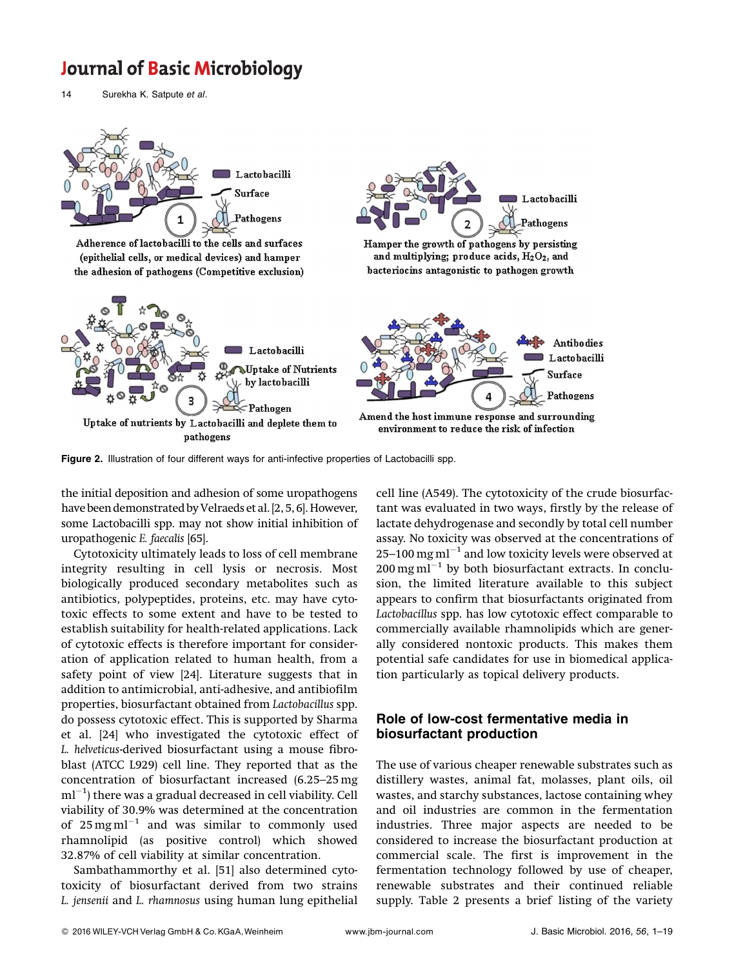14 Surekha K. Satpute et al.



Figure 2. Illustration of four different ways for anti-infective properties of Lactobacilli spp.

the initial deposition and adhesion of some uropathogens have been demonstrated by Velraeds et al. [2, 5, 6]. However, some Lactobacilli spp. may not show initial inhibition of uropathogenic E. faecalis [65].

Cytotoxicity ultimately leads to loss of cell membrane integrity resulting in cell lysis or necrosis. Most biologically produced secondary metabolites such as antibiotics, polypeptides, proteins, etc. may have cytotoxic effects to some extent and have to be tested to establish suitability for health-related applications. Lack of cytotoxic effects is therefore important for consideration of application related to human health, from a safety point of view [24]. Literature suggests that in addition to antimicrobial, anti-adhesive, and antibiofilm properties, biosurfactant obtained from Lactobacillus spp. do possess cytotoxic effect. This is supported by Sharma et al. [24] who investigated the cytotoxic effect of L. helveticus-derived biosurfactant using a mouse fibroblast (ATCC L929) cell line. They reported that as the concentration of biosurfactant increased (6.25–25 mg  $\mathrm{ml}^{-1}$ ) there was a gradual decreased in cell viability. Cell viability of 30.9% was determined at the concentration of  $25 \text{ mg} \text{m}^{-1}$  and was similar to commonly used rhamnolipid (as positive control) which showed 32.87% of cell viability at similar concentration.

Sambathammorthy et al. [51] also determined cytotoxicity of biosurfactant derived from two strains L. jensenii and L. rhamnosus using human lung epithelial

cell line (A549). The cytotoxicity of the crude biosurfactant was evaluated in two ways, firstly by the release of lactate dehydrogenase and secondly by total cell number assay. No toxicity was observed at the concentrations of 25–100  $mg$   $ml^{-1}$  and low toxicity levels were observed at  $200$  mg ml<sup>-1</sup> by both biosurfactant extracts. In conclusion, the limited literature available to this subject appears to confirm that biosurfactants originated from Lactobacillus spp. has low cytotoxic effect comparable to commercially available rhamnolipids which are generally considered nontoxic products. This makes them potential safe candidates for use in biomedical application particularly as topical delivery products.

#### Role of low-cost fermentative media in biosurfactant production

The use of various cheaper renewable substrates such as distillery wastes, animal fat, molasses, plant oils, oil wastes, and starchy substances, lactose containing whey and oil industries are common in the fermentation industries. Three major aspects are needed to be considered to increase the biosurfactant production at commercial scale. The first is improvement in the fermentation technology followed by use of cheaper, renewable substrates and their continued reliable supply. Table 2 presents a brief listing of the variety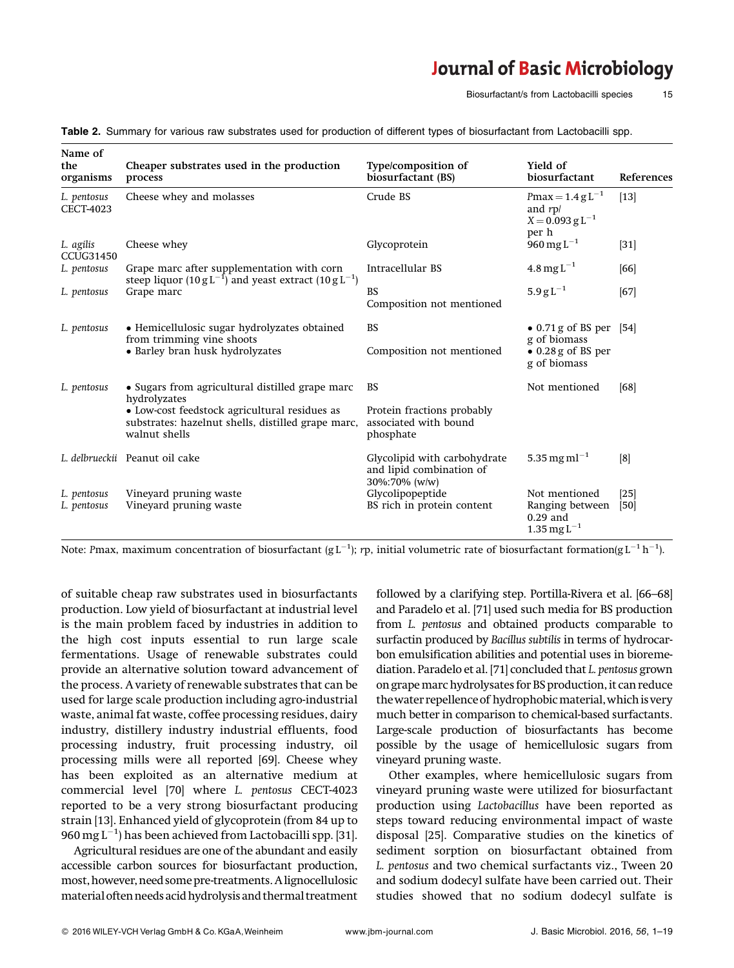Biosurfactant/s from Lactobacilli species 15

| Name of<br>the<br>organisms     | Cheaper substrates used in the production<br>process                                                                                                                                    | Type/composition of<br>biosurfactant (BS)                                     | Yield of<br>biosurfactant                                                                | References     |
|---------------------------------|-----------------------------------------------------------------------------------------------------------------------------------------------------------------------------------------|-------------------------------------------------------------------------------|------------------------------------------------------------------------------------------|----------------|
| L. pentosus<br><b>CECT-4023</b> | Cheese whey and molasses                                                                                                                                                                | Crude BS                                                                      | $Pmax = 1.4 g L^{-1}$<br>and $rp/$<br>$X = 0.093$ g L <sup>-1</sup><br>per h             | $[13]$         |
| L. agilis<br><b>CCUG31450</b>   | Cheese whey                                                                                                                                                                             | Glycoprotein                                                                  | $960 \,\mathrm{mg}\,\mathrm{L}^{-1}$                                                     | $[31]$         |
| L. pentosus                     | Grape marc after supplementation with corn<br>steep liquor $(10gL^{-1})$ and yeast extract $(10gL^{-1})$                                                                                | Intracellular BS                                                              | $4.8 \,\mathrm{mg}\,\mathrm{L}^{-1}$                                                     | [66]           |
| L. pentosus                     | Grape marc                                                                                                                                                                              | <b>BS</b><br>Composition not mentioned                                        | $5.9 g L^{-1}$                                                                           | $[67]$         |
| L. pentosus                     | • Hemicellulosic sugar hydrolyzates obtained<br>from trimming vine shoots<br>• Barley bran husk hydrolyzates                                                                            | <b>BS</b><br>Composition not mentioned                                        | $\bullet$ 0.71 g of BS per<br>g of biomass<br>$\bullet$ 0.28 g of BS per<br>g of biomass | $[54]$         |
| L. pentosus                     | • Sugars from agricultural distilled grape marc<br>hydrolyzates<br>• Low-cost feedstock agricultural residues as<br>substrates: hazelnut shells, distilled grape marc,<br>walnut shells | <b>BS</b><br>Protein fractions probably<br>associated with bound<br>phosphate | Not mentioned                                                                            | [68]           |
|                                 | L. delbrueckii Peanut oil cake                                                                                                                                                          | Glycolipid with carbohydrate<br>and lipid combination of<br>30%:70% (w/w)     | $5.35\,\mathrm{mg}\,\mathrm{ml}^{-1}$                                                    | [8]            |
| L. pentosus<br>L. pentosus      | Vineyard pruning waste<br>Vineyard pruning waste                                                                                                                                        | Glycolipopeptide<br>BS rich in protein content                                | Not mentioned<br>Ranging between<br>$0.29$ and<br>$1.35 \,\mathrm{mg}\,\mathrm{L}^{-1}$  | $[25]$<br>[50] |

|  |  |  |  | Table 2. Summary for various raw substrates used for production of different types of biosurfactant from Lactobacilli spp. |  |  |  |
|--|--|--|--|----------------------------------------------------------------------------------------------------------------------------|--|--|--|
|--|--|--|--|----------------------------------------------------------------------------------------------------------------------------|--|--|--|

Note: Pmax, maximum concentration of biosurfactant (gL<sup>-1</sup>); rp, initial volumetric rate of biosurfactant formation(gL<sup>-1</sup>h<sup>-1</sup>).

of suitable cheap raw substrates used in biosurfactants production. Low yield of biosurfactant at industrial level is the main problem faced by industries in addition to the high cost inputs essential to run large scale fermentations. Usage of renewable substrates could provide an alternative solution toward advancement of the process. A variety of renewable substrates that can be used for large scale production including agro-industrial waste, animal fat waste, coffee processing residues, dairy industry, distillery industry industrial effluents, food processing industry, fruit processing industry, oil processing mills were all reported [69]. Cheese whey has been exploited as an alternative medium at commercial level [70] where L. pentosus CECT-4023 reported to be a very strong biosurfactant producing strain [13]. Enhanced yield of glycoprotein (from 84 up to 960  $\rm mg \, L^{-1})$  has been achieved from Lactobacilli spp. [31].

Agricultural residues are one of the abundant and easily accessible carbon sources for biosurfactant production, most, however, need some pre-treatments. A lignocellulosic material often needs acid hydrolysis and thermal treatment

followed by a clarifying step. Portilla-Rivera et al. [66–68] and Paradelo et al. [71] used such media for BS production from L. pentosus and obtained products comparable to surfactin produced by Bacillus subtilis in terms of hydrocarbon emulsification abilities and potential uses in bioremediation. Paradelo et al. [71] concluded that L. pentosus grown on grape marc hydrolysates for BS production, it can reduce thewater repellence of hydrophobicmaterial,which is very much better in comparison to chemical-based surfactants. Large-scale production of biosurfactants has become possible by the usage of hemicellulosic sugars from vineyard pruning waste.

Other examples, where hemicellulosic sugars from vineyard pruning waste were utilized for biosurfactant production using Lactobacillus have been reported as steps toward reducing environmental impact of waste disposal [25]. Comparative studies on the kinetics of sediment sorption on biosurfactant obtained from L. pentosus and two chemical surfactants viz., Tween 20 and sodium dodecyl sulfate have been carried out. Their studies showed that no sodium dodecyl sulfate is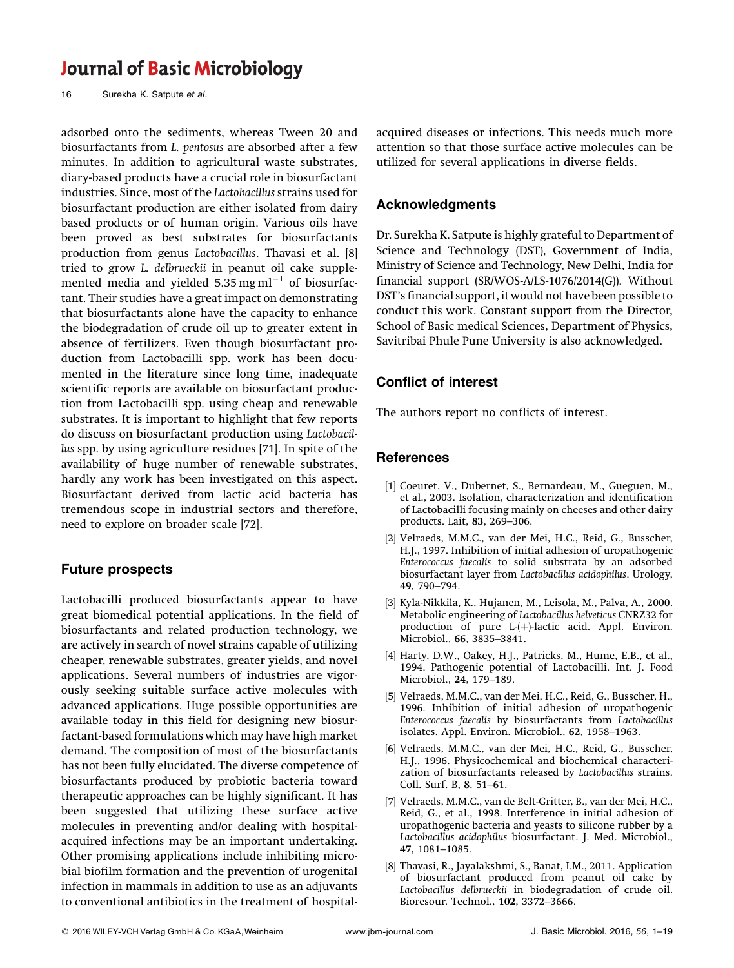16 Surekha K. Satpute et al.

adsorbed onto the sediments, whereas Tween 20 and biosurfactants from L. pentosus are absorbed after a few minutes. In addition to agricultural waste substrates, diary-based products have a crucial role in biosurfactant industries. Since, most of the Lactobacillus strains used for biosurfactant production are either isolated from dairy based products or of human origin. Various oils have been proved as best substrates for biosurfactants production from genus Lactobacillus. Thavasi et al. [8] tried to grow L. delbrueckii in peanut oil cake supplemented media and yielded  $5.35$  mg ml<sup>-1</sup> of biosurfactant. Their studies have a great impact on demonstrating that biosurfactants alone have the capacity to enhance the biodegradation of crude oil up to greater extent in absence of fertilizers. Even though biosurfactant production from Lactobacilli spp. work has been documented in the literature since long time, inadequate scientific reports are available on biosurfactant production from Lactobacilli spp. using cheap and renewable substrates. It is important to highlight that few reports do discuss on biosurfactant production using Lactobacillus spp. by using agriculture residues [71]. In spite of the availability of huge number of renewable substrates, hardly any work has been investigated on this aspect. Biosurfactant derived from lactic acid bacteria has tremendous scope in industrial sectors and therefore, need to explore on broader scale [72].

### Future prospects

Lactobacilli produced biosurfactants appear to have great biomedical potential applications. In the field of biosurfactants and related production technology, we are actively in search of novel strains capable of utilizing cheaper, renewable substrates, greater yields, and novel applications. Several numbers of industries are vigorously seeking suitable surface active molecules with advanced applications. Huge possible opportunities are available today in this field for designing new biosurfactant-based formulations which may have high market demand. The composition of most of the biosurfactants has not been fully elucidated. The diverse competence of biosurfactants produced by probiotic bacteria toward therapeutic approaches can be highly significant. It has been suggested that utilizing these surface active molecules in preventing and/or dealing with hospitalacquired infections may be an important undertaking. Other promising applications include inhibiting microbial biofilm formation and the prevention of urogenital infection in mammals in addition to use as an adjuvants to conventional antibiotics in the treatment of hospitalacquired diseases or infections. This needs much more attention so that those surface active molecules can be utilized for several applications in diverse fields.

#### Acknowledgments

Dr. Surekha K. Satpute is highly grateful to Department of Science and Technology (DST), Government of India, Ministry of Science and Technology, New Delhi, India for financial support (SR/WOS-A/LS-1076/2014(G)). Without DST's financial support, it would not have been possible to conduct this work. Constant support from the Director, School of Basic medical Sciences, Department of Physics, Savitribai Phule Pune University is also acknowledged.

### Conflict of interest

The authors report no conflicts of interest.

#### **References**

- [1] Coeuret, V., Dubernet, S., Bernardeau, M., Gueguen, M., et al., 2003. Isolation, characterization and identification of Lactobacilli focusing mainly on cheeses and other dairy products. Lait, 83, 269–306.
- [2] Velraeds, M.M.C., van der Mei, H.C., Reid, G., Busscher, H.J., 1997. Inhibition of initial adhesion of uropathogenic Enterococcus faecalis to solid substrata by an adsorbed biosurfactant layer from Lactobacillus acidophilus. Urology, 49, 790–794.
- [3] Kyla-Nikkila, K., Hujanen, M., Leisola, M., Palva, A., 2000. Metabolic engineering of Lactobacillus helveticus CNRZ32 for production of pure L-(+)-lactic acid. Appl. Environ. Microbiol., 66, 3835–3841.
- [4] Harty, D.W., Oakey, H.J., Patricks, M., Hume, E.B., et al., 1994. Pathogenic potential of Lactobacilli. Int. J. Food Microbiol., 24, 179–189.
- [5] Velraeds, M.M.C., van der Mei, H.C., Reid, G., Busscher, H., 1996. Inhibition of initial adhesion of uropathogenic Enterococcus faecalis by biosurfactants from Lactobacillus isolates. Appl. Environ. Microbiol., 62, 1958–1963.
- [6] Velraeds, M.M.C., van der Mei, H.C., Reid, G., Busscher, H.J., 1996. Physicochemical and biochemical characterization of biosurfactants released by Lactobacillus strains. Coll. Surf. B, 8, 51–61.
- [7] Velraeds, M.M.C., van de Belt-Gritter, B., van der Mei, H.C., Reid, G., et al., 1998. Interference in initial adhesion of uropathogenic bacteria and yeasts to silicone rubber by a Lactobacillus acidophilus biosurfactant. J. Med. Microbiol., 47, 1081–1085.
- [8] Thavasi, R., Jayalakshmi, S., Banat, I.M., 2011. Application of biosurfactant produced from peanut oil cake by Lactobacillus delbrueckii in biodegradation of crude oil. Bioresour. Technol., 102, 3372–3666.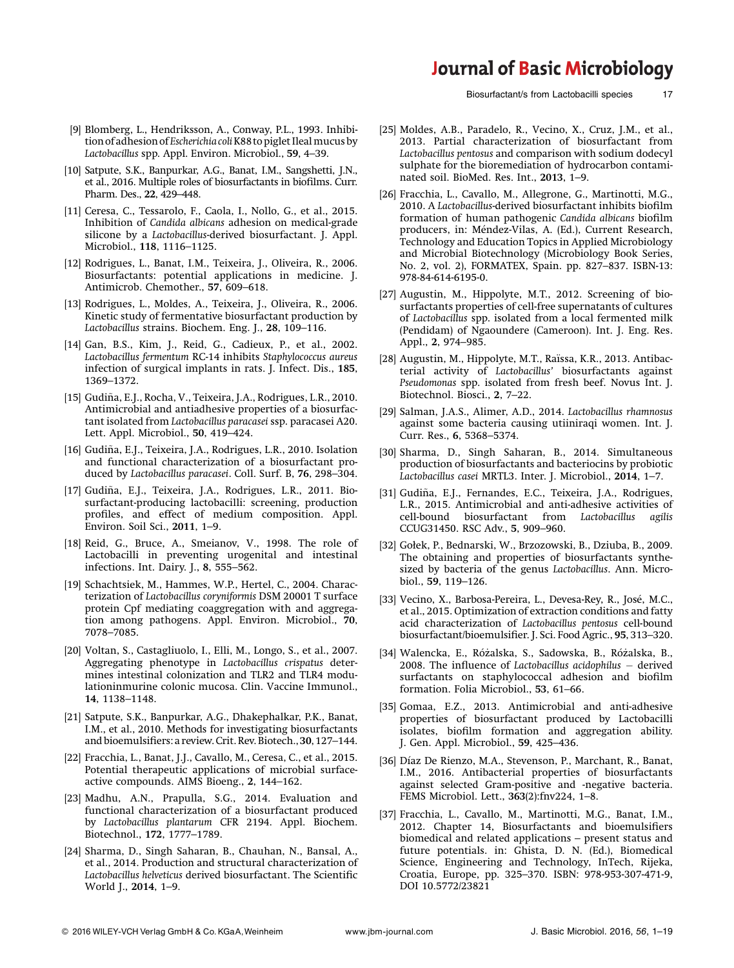Biosurfactant/s from Lactobacilli species 17

- [9] Blomberg, L., Hendriksson, A., Conway, P.L., 1993. Inhibition of adhesion of Escherichia coli K88 to piglet Ileal mucus by Lactobacillus spp. Appl. Environ. Microbiol., 59, 4–39.
- [10] Satpute, S.K., Banpurkar, A.G., Banat, I.M., Sangshetti, J.N., et al., 2016. Multiple roles of biosurfactants in biofilms. Curr. Pharm. Des., 22, 429–448.
- [11] Ceresa, C., Tessarolo, F., Caola, I., Nollo, G., et al., 2015. Inhibition of Candida albicans adhesion on medical-grade silicone by a Lactobacillus-derived biosurfactant. J. Appl. Microbiol., 118, 1116–1125.
- [12] Rodrigues, L., Banat, I.M., Teixeira, J., Oliveira, R., 2006. Biosurfactants: potential applications in medicine. J. Antimicrob. Chemother., 57, 609–618.
- [13] Rodrigues, L., Moldes, A., Teixeira, J., Oliveira, R., 2006. Kinetic study of fermentative biosurfactant production by Lactobacillus strains. Biochem. Eng. J., 28, 109–116.
- [14] Gan, B.S., Kim, J., Reid, G., Cadieux, P., et al., 2002. Lactobacillus fermentum RC-14 inhibits Staphylococcus aureus infection of surgical implants in rats. J. Infect. Dis., 185, 1369–1372.
- [15] Gudiña, E.J., Rocha, V., Teixeira, J.A., Rodrigues, L.R., 2010. Antimicrobial and antiadhesive properties of a biosurfactant isolated from Lactobacillus paracasei ssp. paracasei A20. Lett. Appl. Microbiol., 50, 419–424.
- [16] Gudina, E.J., Teixeira, J.A., Rodrigues, L.R., 2010. Isolation ~ and functional characterization of a biosurfactant produced by Lactobacillus paracasei. Coll. Surf. B, 76, 298–304.
- [17] Gudiña, E.J., Teixeira, J.A., Rodrigues, L.R., 2011. Biosurfactant-producing lactobacilli: screening, production profiles, and effect of medium composition. Appl. Environ. Soil Sci., 2011, 1–9.
- [18] Reid, G., Bruce, A., Smeianov, V., 1998. The role of Lactobacilli in preventing urogenital and intestinal infections. Int. Dairy. J., 8, 555–562.
- [19] Schachtsiek, M., Hammes, W.P., Hertel, C., 2004. Characterization of Lactobacillus coryniformis DSM 20001 T surface protein Cpf mediating coaggregation with and aggregation among pathogens. Appl. Environ. Microbiol., 70, 7078–7085.
- [20] Voltan, S., Castagliuolo, I., Elli, M., Longo, S., et al., 2007. Aggregating phenotype in Lactobacillus crispatus determines intestinal colonization and TLR2 and TLR4 modulationinmurine colonic mucosa. Clin. Vaccine Immunol., 14, 1138–1148.
- [21] Satpute, S.K., Banpurkar, A.G., Dhakephalkar, P.K., Banat, I.M., et al., 2010. Methods for investigating biosurfactants and bioemulsifiers: a review. Crit.Rev. Biotech.,30, 127–144.
- [22] Fracchia, L., Banat, J.J., Cavallo, M., Ceresa, C., et al., 2015. Potential therapeutic applications of microbial surfaceactive compounds. AIMS Bioeng., 2, 144–162.
- [23] Madhu, A.N., Prapulla, S.G., 2014. Evaluation and functional characterization of a biosurfactant produced by Lactobacillus plantarum CFR 2194. Appl. Biochem. Biotechnol., 172, 1777–1789.
- [24] Sharma, D., Singh Saharan, B., Chauhan, N., Bansal, A., et al., 2014. Production and structural characterization of Lactobacillus helveticus derived biosurfactant. The Scientific World J., 2014, 1–9.
- [25] Moldes, A.B., Paradelo, R., Vecino, X., Cruz, J.M., et al., 2013. Partial characterization of biosurfactant from Lactobacillus pentosus and comparison with sodium dodecyl sulphate for the bioremediation of hydrocarbon contaminated soil. BioMed. Res. Int., 2013, 1–9.
- [26] Fracchia, L., Cavallo, M., Allegrone, G., Martinotti, M.G., 2010. A Lactobacillus-derived biosurfactant inhibits biofilm formation of human pathogenic Candida albicans biofilm producers, in: Méndez-Vilas, A. (Ed.), Current Research, Technology and Education Topics in Applied Microbiology and Microbial Biotechnology (Microbiology Book Series, No. 2, vol. 2), FORMATEX, Spain. pp. 827–837. ISBN-13: 978-84-614-6195-0.
- [27] Augustin, M., Hippolyte, M.T., 2012. Screening of biosurfactants properties of cell-free supernatants of cultures of Lactobacillus spp. isolated from a local fermented milk (Pendidam) of Ngaoundere (Cameroon). Int. J. Eng. Res. Appl., 2, 974–985.
- [28] Augustin, M., Hippolyte, M.T., Raïssa, K.R., 2013. Antibacterial activity of Lactobacillus' biosurfactants against Pseudomonas spp. isolated from fresh beef. Novus Int. J. Biotechnol. Biosci., 2, 7–22.
- [29] Salman, J.A.S., Alimer, A.D., 2014. Lactobacillus rhamnosus against some bacteria causing utiiniraqi women. Int. J. Curr. Res., 6, 5368–5374.
- [30] Sharma, D., Singh Saharan, B., 2014. Simultaneous production of biosurfactants and bacteriocins by probiotic Lactobacillus casei MRTL3. Inter. J. Microbiol., 2014, 1–7.
- [31] Gudiña, E.J., Fernandes, E.C., Teixeira, J.A., Rodrigues, L.R., 2015. Antimicrobial and anti-adhesive activities of cell-bound biosurfactant from Lactobacillus agilis CCUG31450. RSC Adv., 5, 909–960.
- [32] Gołek, P., Bednarski, W., Brzozowski, B., Dziuba, B., 2009. The obtaining and properties of biosurfactants synthesized by bacteria of the genus Lactobacillus. Ann. Microbiol., 59, 119–126.
- [33] Vecino, X., Barbosa-Pereira, L., Devesa-Rey, R., José, M.C., et al., 2015. Optimization of extraction conditions and fatty acid characterization of Lactobacillus pentosus cell-bound biosurfactant/bioemulsifier. J. Sci. Food Agric., 95, 313–320.
- [34] Walencka, E., Różalska, S., Sadowska, B., Różalska, B., 2008. The influence of Lactobacillus acidophilus  $-$  derived surfactants on staphylococcal adhesion and biofilm formation. Folia Microbiol., 53, 61–66.
- [35] Gomaa, E.Z., 2013. Antimicrobial and anti-adhesive properties of biosurfactant produced by Lactobacilli isolates, biofilm formation and aggregation ability. J. Gen. Appl. Microbiol., 59, 425–436.
- [36] Díaz De Rienzo, M.A., Stevenson, P., Marchant, R., Banat, I.M., 2016. Antibacterial properties of biosurfactants against selected Gram-positive and -negative bacteria. FEMS Microbiol. Lett., 363(2):fnv224, 1–8.
- [37] Fracchia, L., Cavallo, M., Martinotti, M.G., Banat, I.M., 2012. Chapter 14, Biosurfactants and bioemulsifiers biomedical and related applications – present status and future potentials. in: Ghista, D. N. (Ed.), Biomedical Science, Engineering and Technology, InTech, Rijeka, Croatia, Europe, pp. 325–370. ISBN: 978-953-307-471-9, DOI 10.5772/23821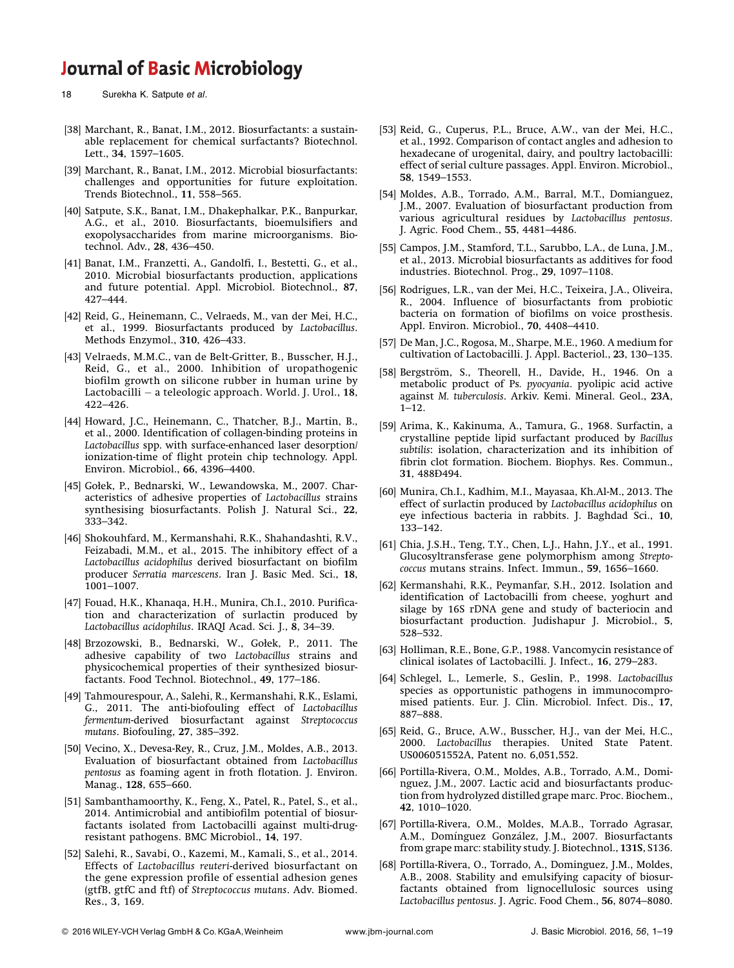18 Surekha K. Satpute et al.

- [38] Marchant, R., Banat, I.M., 2012. Biosurfactants: a sustainable replacement for chemical surfactants? Biotechnol. Lett., 34, 1597–1605.
- [39] Marchant, R., Banat, I.M., 2012. Microbial biosurfactants: challenges and opportunities for future exploitation. Trends Biotechnol., 11, 558–565.
- [40] Satpute, S.K., Banat, I.M., Dhakephalkar, P.K., Banpurkar, A.G., et al., 2010. Biosurfactants, bioemulsifiers and exopolysaccharides from marine microorganisms. Biotechnol. Adv., 28, 436–450.
- [41] Banat, I.M., Franzetti, A., Gandolfi, I., Bestetti, G., et al., 2010. Microbial biosurfactants production, applications and future potential. Appl. Microbiol. Biotechnol., 87, 427–444.
- [42] Reid, G., Heinemann, C., Velraeds, M., van der Mei, H.C., et al., 1999. Biosurfactants produced by Lactobacillus. Methods Enzymol., 310, 426–433.
- [43] Velraeds, M.M.C., van de Belt-Gritter, B., Busscher, H.J., Reid, G., et al., 2000. Inhibition of uropathogenic biofilm growth on silicone rubber in human urine by Lactobacilli – a teleologic approach. World. J. Urol., 18, 422–426.
- [44] Howard, J.C., Heinemann, C., Thatcher, B.J., Martin, B., et al., 2000. Identification of collagen-binding proteins in Lactobacillus spp. with surface-enhanced laser desorption/ ionization-time of flight protein chip technology. Appl. Environ. Microbiol., 66, 4396–4400.
- [45] Gołek, P., Bednarski, W., Lewandowska, M., 2007. Characteristics of adhesive properties of Lactobacillus strains synthesising biosurfactants. Polish J. Natural Sci., 22, 333–342.
- [46] Shokouhfard, M., Kermanshahi, R.K., Shahandashti, R.V., Feizabadi, M.M., et al., 2015. The inhibitory effect of a Lactobacillus acidophilus derived biosurfactant on biofilm producer Serratia marcescens. Iran J. Basic Med. Sci., 18, 1001–1007.
- [47] Fouad, H.K., Khanaqa, H.H., Munira, Ch.I., 2010. Purification and characterization of surlactin produced by Lactobacillus acidophilus. IRAQI Acad. Sci. J., 8, 34–39.
- [48] Brzozowski, B., Bednarski, W., Gołek, P., 2011. The adhesive capability of two Lactobacillus strains and physicochemical properties of their synthesized biosurfactants. Food Technol. Biotechnol., 49, 177–186.
- [49] Tahmourespour, A., Salehi, R., Kermanshahi, R.K., Eslami, G., 2011. The anti-biofouling effect of Lactobacillus fermentum-derived biosurfactant against Streptococcus mutans. Biofouling, 27, 385–392.
- [50] Vecino, X., Devesa-Rey, R., Cruz, J.M., Moldes, A.B., 2013. Evaluation of biosurfactant obtained from Lactobacillus pentosus as foaming agent in froth flotation. J. Environ. Manag., 128, 655–660.
- [51] Sambanthamoorthy, K., Feng, X., Patel, R., Patel, S., et al., 2014. Antimicrobial and antibiofilm potential of biosurfactants isolated from Lactobacilli against multi-drugresistant pathogens. BMC Microbiol., 14, 197.
- [52] Salehi, R., Savabi, O., Kazemi, M., Kamali, S., et al., 2014. Effects of Lactobacillus reuteri-derived biosurfactant on the gene expression profile of essential adhesion genes (gtfB, gtfC and ftf) of Streptococcus mutans. Adv. Biomed. Res., 3, 169.
- [53] Reid, G., Cuperus, P.L., Bruce, A.W., van der Mei, H.C., et al., 1992. Comparison of contact angles and adhesion to hexadecane of urogenital, dairy, and poultry lactobacilli: effect of serial culture passages. Appl. Environ. Microbiol., 58, 1549–1553.
- [54] Moldes, A.B., Torrado, A.M., Barral, M.T., Domianguez, J.M., 2007. Evaluation of biosurfactant production from various agricultural residues by Lactobacillus pentosus. J. Agric. Food Chem., 55, 4481–4486.
- [55] Campos, J.M., Stamford, T.L., Sarubbo, L.A., de Luna, J.M., et al., 2013. Microbial biosurfactants as additives for food industries. Biotechnol. Prog., 29, 1097–1108.
- [56] Rodrigues, L.R., van der Mei, H.C., Teixeira, J.A., Oliveira, R., 2004. Influence of biosurfactants from probiotic bacteria on formation of biofilms on voice prosthesis. Appl. Environ. Microbiol., 70, 4408–4410.
- [57] De Man, J.C., Rogosa, M., Sharpe, M.E., 1960. A medium for cultivation of Lactobacilli. J. Appl. Bacteriol., 23, 130–135.
- [58] Bergström, S., Theorell, H., Davide, H., 1946. On a metabolic product of Ps. pyocyania. pyolipic acid active against M. tuberculosis. Arkiv. Kemi. Mineral. Geol., 23A, 1–12.
- [59] Arima, K., Kakinuma, A., Tamura, G., 1968. Surfactin, a crystalline peptide lipid surfactant produced by Bacillus subtilis: isolation, characterization and its inhibition of fibrin clot formation. Biochem. Biophys. Res. Commun., 31, 488Ð494.
- [60] Munira, Ch.I., Kadhim, M.I., Mayasaa, Kh.Al-M., 2013. The effect of surlactin produced by Lactobacillus acidophilus on eye infectious bacteria in rabbits. J. Baghdad Sci., 10, 133–142.
- [61] Chia, J.S.H., Teng, T.Y., Chen, L.J., Hahn, J.Y., et al., 1991. Glucosyltransferase gene polymorphism among Streptococcus mutans strains. Infect. Immun., 59, 1656–1660.
- [62] Kermanshahi, R.K., Peymanfar, S.H., 2012. Isolation and identification of Lactobacilli from cheese, yoghurt and silage by 16S rDNA gene and study of bacteriocin and biosurfactant production. Judishapur J. Microbiol., 5, 528–532.
- [63] Holliman, R.E., Bone, G.P., 1988. Vancomycin resistance of clinical isolates of Lactobacilli. J. Infect., 16, 279–283.
- [64] Schlegel, L., Lemerle, S., Geslin, P., 1998. Lactobacillus species as opportunistic pathogens in immunocompromised patients. Eur. J. Clin. Microbiol. Infect. Dis., 17, 887–888.
- [65] Reid, G., Bruce, A.W., Busscher, H.J., van der Mei, H.C., 2000. Lactobacillus therapies. United State Patent. US006051552A, Patent no. 6,051,552.
- [66] Portilla-Rivera, O.M., Moldes, A.B., Torrado, A.M., Dominguez, J.M., 2007. Lactic acid and biosurfactants production from hydrolyzed distilled grape marc. Proc. Biochem., 42, 1010–1020.
- [67] Portilla-Rivera, O.M., Moldes, M.A.B., Torrado Agrasar, A.M., Domínguez González, J.M., 2007. Biosurfactants from grape marc: stability study. J. Biotechnol., 131S, S136.
- [68] Portilla-Rivera, O., Torrado, A., Dominguez, J.M., Moldes, A.B., 2008. Stability and emulsifying capacity of biosurfactants obtained from lignocellulosic sources using Lactobacillus pentosus. J. Agric. Food Chem., 56, 8074–8080.